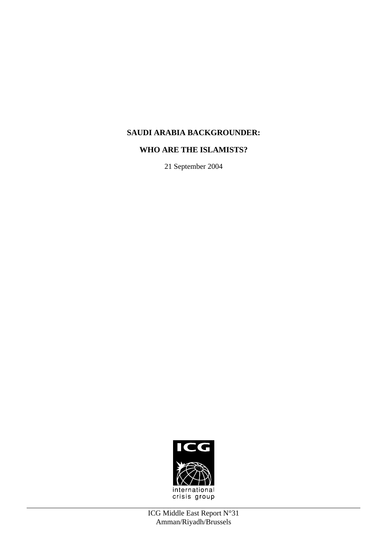# **SAUDI ARABIA BACKGROUNDER:**

# **WHO ARE THE ISLAMISTS?**

21 September 2004

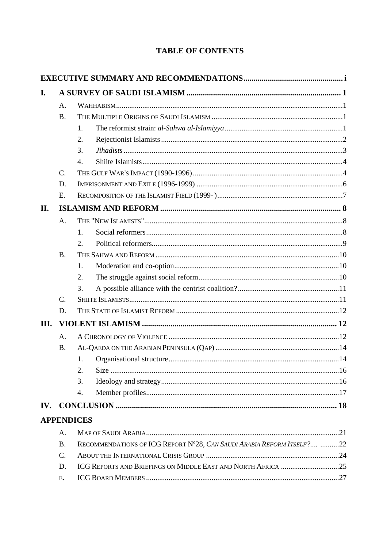# **TABLE OF CONTENTS**

| I.   |                |                                                                        |  |  |
|------|----------------|------------------------------------------------------------------------|--|--|
|      | A.             |                                                                        |  |  |
|      | <b>B.</b>      |                                                                        |  |  |
|      |                | 1.                                                                     |  |  |
|      |                | 2.                                                                     |  |  |
|      |                | 3.                                                                     |  |  |
|      |                | 4.                                                                     |  |  |
|      | $C_{\cdot}$    |                                                                        |  |  |
|      | D.             |                                                                        |  |  |
|      | E.             |                                                                        |  |  |
| II.  |                |                                                                        |  |  |
|      | A <sub>1</sub> |                                                                        |  |  |
|      |                | 1.                                                                     |  |  |
|      |                | 2.                                                                     |  |  |
|      | <b>B.</b>      |                                                                        |  |  |
|      |                | 1.                                                                     |  |  |
|      |                | 2.                                                                     |  |  |
|      |                | 3.                                                                     |  |  |
|      | $C_{\cdot}$    |                                                                        |  |  |
|      | D.             |                                                                        |  |  |
| III. |                |                                                                        |  |  |
|      | A.             |                                                                        |  |  |
|      | <b>B.</b>      |                                                                        |  |  |
|      |                | 1.                                                                     |  |  |
|      |                | 2.                                                                     |  |  |
|      |                | 3.                                                                     |  |  |
|      |                | 4.                                                                     |  |  |
| IV.  |                |                                                                        |  |  |
|      |                | <b>APPENDICES</b>                                                      |  |  |
|      | A.             |                                                                        |  |  |
|      | <b>B.</b>      | RECOMMENDATIONS OF ICG REPORT N°28, CAN SAUDI ARABIA REFORM ITSELF? 22 |  |  |
|      | C.             |                                                                        |  |  |
|      | D.             | ICG REPORTS AND BRIEFINGS ON MIDDLE EAST AND NORTH AFRICA 25           |  |  |
|      | E.             |                                                                        |  |  |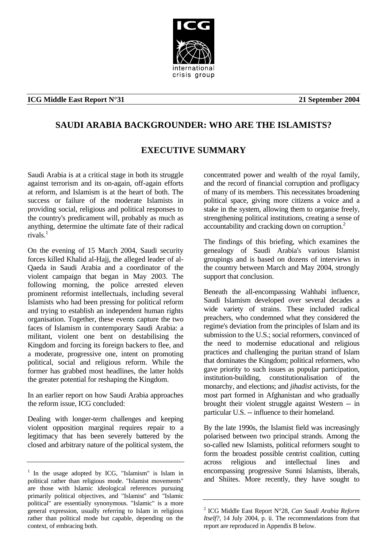# crisis group

#### **ICG Middle East Report N°31 21 September 2004**

# **SAUDI ARABIA BACKGROUNDER: WHO ARE THE ISLAMISTS?**

# **EXECUTIVE SUMMARY**

Saudi Arabia is at a critical stage in both its struggle against terrorism and its on-again, off-again efforts at reform, and Islamism is at the heart of both. The success or failure of the moderate Islamists in providing social, religious and political responses to the country's predicament will, probably as much as anything, determine the ultimate fate of their radical rivals[.1](#page-2-0)

On the evening of 15 March 2004, Saudi security forces killed Khalid al-Hajj, the alleged leader of al-Qaeda in Saudi Arabia and a coordinator of the violent campaign that began in May 2003. The following morning, the police arrested eleven prominent reformist intellectuals, including several Islamists who had been pressing for political reform and trying to establish an independent human rights organisation. Together, these events capture the two faces of Islamism in contemporary Saudi Arabia: a militant, violent one bent on destabilising the Kingdom and forcing its foreign backers to flee, and a moderate, progressive one, intent on promoting political, social and religious reform. While the former has grabbed most headlines, the latter holds the greater potential for reshaping the Kingdom.

In an earlier report on how Saudi Arabia approaches the reform issue, ICG concluded:

Dealing with longer-term challenges and keeping violent opposition marginal requires repair to a legitimacy that has been severely battered by the closed and arbitrary nature of the political system, the concentrated power and wealth of the royal family, and the record of financial corruption and profligacy of many of its members. This necessitates broadening political space, giving more citizens a voice and a stake in the system, allowing them to organise freely, strengthening political institutions, creating a sense of accountability and cracking down on corruption.<sup>2</sup>

The findings of this briefing, which examines the genealogy of Saudi Arabia's various Islamist groupings and is based on dozens of interviews in the country between March and May 2004, strongly support that conclusion.

Beneath the all-encompassing Wahhabi influence, Saudi Islamism developed over several decades a wide variety of strains. These included radical preachers, who condemned what they considered the regime's deviation from the principles of Islam and its submission to the U.S.; social reformers, convinced of the need to modernise educational and religious practices and challenging the puritan strand of Islam that dominates the Kingdom; political reformers, who gave priority to such issues as popular participation, institution-building, constitutionalisation of the monarchy, and elections; and *jihadist* activists, for the most part formed in Afghanistan and who gradually brought their violent struggle against Western -- in particular U.S. -- influence to their homeland.

By the late 1990s, the Islamist field was increasingly polarised between two principal strands. Among the so-called new Islamists, political reformers sought to form the broadest possible centrist coalition, cutting across religious and intellectual lines and encompassing progressive Sunni Islamists, liberals, and Shiites. More recently, they have sought to

<span id="page-2-0"></span><sup>&</sup>lt;sup>1</sup> In the usage adopted by ICG, "Islamism" is Islam in political rather than religious mode. "Islamist movements" are those with Islamic ideological references pursuing primarily political objectives, and "Islamist" and "Islamic political" are essentially synonymous. "Islamic" is a more general expression, usually referring to Islam in religious rather than political mode but capable, depending on the context, of embracing both.

<span id="page-2-1"></span><sup>2</sup> ICG Middle East Report N°28, *Can Saudi Arabia Reform Itself?,* 14 July 2004, p. ii. The recommendations from that report are reproduced in Appendix B below.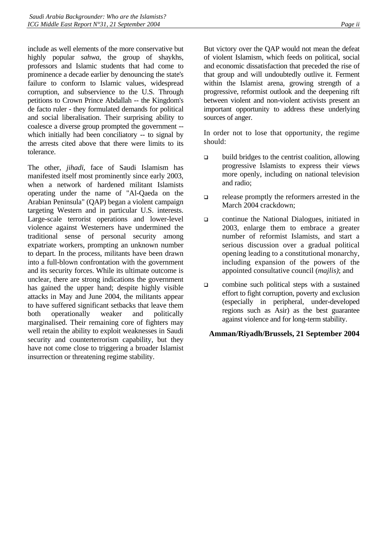include as well elements of the more conservative but highly popular *sahwa,* the group of shaykhs, professors and Islamic students that had come to prominence a decade earlier by denouncing the state's failure to conform to Islamic values, widespread corruption, and subservience to the U.S. Through petitions to Crown Prince Abdallah -- the Kingdom's de facto ruler - they formulated demands for political and social liberalisation. Their surprising ability to coalesce a diverse group prompted the government - which initially had been conciliatory -- to signal by the arrests cited above that there were limits to its tolerance.

The other, *jihadi*, face of Saudi Islamism has manifested itself most prominently since early 2003, when a network of hardened militant Islamists operating under the name of "Al-Qaeda on the Arabian Peninsula" (QAP) began a violent campaign targeting Western and in particular U.S. interests. Large-scale terrorist operations and lower-level violence against Westerners have undermined the traditional sense of personal security among expatriate workers, prompting an unknown number to depart. In the process, militants have been drawn into a full-blown confrontation with the government and its security forces. While its ultimate outcome is unclear, there are strong indications the government has gained the upper hand; despite highly visible attacks in May and June 2004, the militants appear to have suffered significant setbacks that leave them both operationally weaker and politically marginalised. Their remaining core of fighters may well retain the ability to exploit weaknesses in Saudi security and counterterrorism capability, but they have not come close to triggering a broader Islamist insurrection or threatening regime stability.

But victory over the QAP would not mean the defeat of violent Islamism, which feeds on political, social and economic dissatisfaction that preceded the rise of that group and will undoubtedly outlive it. Ferment within the Islamist arena, growing strength of a progressive, reformist outlook and the deepening rift between violent and non-violent activists present an important opportunity to address these underlying sources of anger.

In order not to lose that opportunity, the regime should:

- $\Box$  build bridges to the centrist coalition, allowing progressive Islamists to express their views more openly, including on national television and radio;
- release promptly the reformers arrested in the March 2004 crackdown;
- continue the National Dialogues, initiated in 2003, enlarge them to embrace a greater number of reformist Islamists, and start a serious discussion over a gradual political opening leading to a constitutional monarchy, including expansion of the powers of the appointed consultative council (*majlis)*; and
- combine such political steps with a sustained effort to fight corruption, poverty and exclusion (especially in peripheral, under-developed regions such as Asir) as the best guarantee against violence and for long-term stability.

#### **Amman/Riyadh/Brussels, 21 September 2004**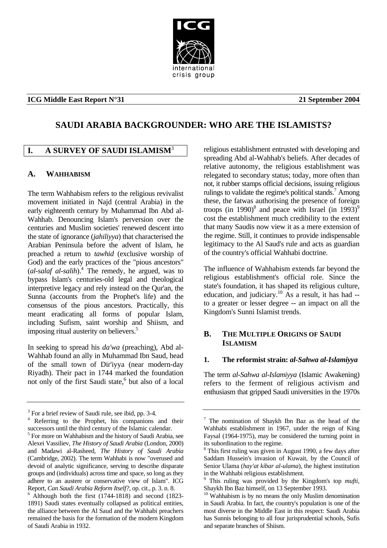# crisis group

#### <span id="page-4-0"></span>**ICG Middle East Report N°31 21 September 2004**

# **SAUDI ARABIA BACKGROUNDER: WHO ARE THE ISLAMISTS?**

# **I. A SURVEY OF SAUDI ISLAMISM<sup>[3](#page-4-1)</sup>**

#### **A. WAHHABISM**

The term Wahhabism refers to the religious revivalist movement initiated in Najd (central Arabia) in the early eighteenth century by Muhammad Ibn Abd al-Wahhab. Denouncing Islam's perversion over the centuries and Muslim societies' renewed descent into the state of ignorance (*jahiliyya*) that characterised the Arabian Peninsula before the advent of Islam, he preached a return to *tawhid* (exclusive worship of God) and the early practices of the "pious ancestors" (*al-salaf al-salih*).[4](#page-4-2) The remedy, he argued, was to bypass Islam's centuries-old legal and theological interpretive legacy and rely instead on the Qur'an, the Sunna (accounts from the Prophet's life) and the consensus of the pious ancestors. Practically, this meant eradicating all forms of popular Islam, including Sufism, saint worship and Shiism, and imposing ritual austerity on believers.<sup>5</sup>

In seeking to spread his *da'wa* (preaching), Abd al-Wahhab found an ally in Muhammad Ibn Saud, head of the small town of Dir'iyya (near modern-day Riyadh). Their pact in 1744 marked the foundation notonly of the first Saudi state,<sup>6</sup> but also of a local

religious establishment entrusted with developing and spreading Abd al-Wahhab's beliefs. After decades of relative autonomy, the religious establishment was relegated to secondary status; today, more often than not, it rubber stamps official decisions, issuing religious rulings to validate the regime's political stands.<sup>7</sup> Among these, the fatwas authorising the presence of foreign troops (in 1[9](#page-4-7)90)<sup>8</sup> and peace with Israel (in 1993)<sup>9</sup> cost the establishment much credibility to the extent that many Saudis now view it as a mere extension of the regime. Still, it continues to provide indispensable legitimacy to the Al Saud's rule and acts as guardian of the country's official Wahhabi doctrine.

The influence of Wahhabism extends far beyond the religious establishment's official role. Since the state's foundation, it has shaped its religious culture, education, and judiciary.<sup>10</sup> As a result, it has had  $$ to a greater or lesser degree -- an impact on all the Kingdom's Sunni Islamist trends.

#### **B. THE MULTIPLE ORIGINS OF SAUDI ISLAMISM**

#### **1. The reformist strain:** *al-Sahwa al-Islamiyya*

The term *al-Sahwa al-Islamiyya* (Islamic Awakening) refers to the ferment of religious activism and enthusiasm that gripped Saudi universities in the 1970s

<span id="page-4-2"></span><span id="page-4-1"></span>

 $3<sup>3</sup>$  For a brief review of Saudi rule, see ibid, pp. 3-4.<br>
<sup>4</sup> Referring to the Prophet, his companions and their

<span id="page-4-3"></span>successors until the third century of the Islamic calendar.<br><sup>5</sup> For more on Wahhabism and the history of Saudi Arabia, see Alexei Vassiliev, *The History of Saudi Arabia* (London, 2000) and Madawi al-Rasheed, *The History of Saudi Arabia* (Cambridge, 2002). The term Wahhabi is now "overused and devoid of analytic significance, serving to describe disparate groups and (individuals) across time and space, so long as they adhere to an austere or conservative view of Islam". ICG Report, *Can Saudi Arabia Reform Itself?*, op. cit., p. 3. n. 8.

<span id="page-4-4"></span>Although both the first (1744-1818) and second (1823- 1891) Saudi states eventually collapsed as political entities, the alliance between the Al Saud and the Wahhabi preachers remained the basis for the formation of the modern Kingdom of Saudi Arabia in 1932.

<span id="page-4-5"></span> $7$  The nomination of Shaykh Ibn Baz as the head of the Wahhabi establishment in 1967, under the reign of King Faysal (1964-1975), may be considered the turning point in its subordination to the regime.

<span id="page-4-6"></span><sup>&</sup>lt;sup>8</sup> This first ruling was given in August 1990, a few days after Saddam Hussein's invasion of Kuwait, by the Council of Senior Ulama (*hay'at kibar al-ulama*), the highest institution in the Wahhabi religious establishment.

<span id="page-4-7"></span>This ruling was provided by the Kingdom's top *mufti*, Shaykh Ibn Baz himself, on 13 September 1993.<br><sup>10</sup> Wahhabism is by no means the only Muslim denomination

<span id="page-4-8"></span>in Saudi Arabia. In fact, the country's population is one of the most diverse in the Middle East in this respect: Saudi Arabia has Sunnis belonging to all four jurisprudential schools, Sufis and separate branches of Shiism.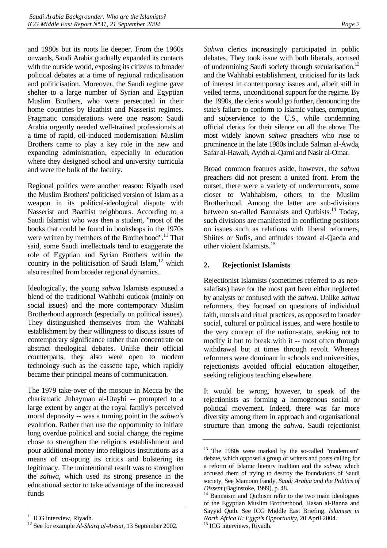<span id="page-5-0"></span>and 1980s but its roots lie deeper. From the 1960s onwards, Saudi Arabia gradually expanded its contacts with the outside world, exposing its citizens to broader political debates at a time of regional radicalisation and politicisation. Moreover, the Saudi regime gave shelter to a large number of Syrian and Egyptian Muslim Brothers, who were persecuted in their home countries by Baathist and Nasserist regimes. Pragmatic considerations were one reason: Saudi Arabia urgently needed well-trained professionals at a time of rapid, oil-induced modernisation. Muslim Brothers came to play a key role in the new and expanding administration, especially in education where they designed school and university curricula and were the bulk of the faculty.

Regional politics were another reason: Riyadh used the Muslim Brothers' politicised version of Islam as a weapon in its political-ideological dispute with Nasserist and Baathist neighbours. According to a Saudi Islamist who was then a student, "most of the books that could be found in bookshops in the 1970s were written by members of the Brotherhood".<sup>11</sup> That said, some Saudi intellectuals tend to exaggerate the role of Egyptian and Syrian Brothers within the country in the politicisation of Saudi Islam, $12$  which also resulted from broader regional dynamics.

Ideologically, the young *sahwa* Islamists espoused a blend of the traditional Wahhabi outlook (mainly on social issues) and the more contemporary Muslim Brotherhood approach (especially on political issues). They distinguished themselves from the Wahhabi establishment by their willingness to discuss issues of contemporary significance rather than concentrate on abstract theological debates. Unlike their official counterparts, they also were open to modern technology such as the cassette tape, which rapidly became their principal means of communication.

The 1979 take-over of the mosque in Mecca by the charismatic Juhayman al-Utaybi -- prompted to a large extent by anger at the royal family's perceived moral depravity -- was a turning point in the *sahwa's*  evolution. Rather than use the opportunity to initiate long overdue political and social change, the regime chose to strengthen the religious establishment and pour additional money into religious institutions as a means of co-opting its critics and bolstering its legitimacy. The unintentional result was to strengthen the *sahwa*, which used its strong presence in the educational sector to take advantage of the increased funds

*Sahwa* clerics increasingly participated in public debates. They took issue with both liberals, accused of undermining Saudi society through secularisation,<sup>13</sup> and the Wahhabi establishment, criticised for its lack of interest in contemporary issues and, albeit still in veiled terms, unconditional support for the regime. By the 1990s, the clerics would go further, denouncing the state's failure to conform to Islamic values, corruption, and subservience to the U.S., while condemning official clerics for their silence on all the above The most widely known *sahwa* preachers who rose to prominence in the late 1980s include Salman al-Awda, Safar al-Hawali, Ayidh al-Qarni and Nasir al-Omar.

Broad common features aside, however, the *sahwa*  preachers did not present a united front. From the outset, there were a variety of undercurrents, some closer to Wahhabism, others to the Muslim Brotherhood. Among the latter are sub-divisions between so-called Bannaists and Qutbists.<sup>14</sup> Today, such divisions are manifested in conflicting positions on issues such as relations with liberal reformers, Shiites or Sufis, and attitudes toward al-Qaeda and other violent Islamists[.15](#page-5-5)

#### **2. Rejectionist Islamists**

Rejectionist Islamists (sometimes referred to as neosalafists) have for the most part been either neglected by analysts or confused with the *sahwa*. Unlike *sahwa*  reformers, they focused on questions of individual faith, morals and ritual practices, as opposed to broader social, cultural or political issues, and were hostile to the very concept of the nation-state, seeking not to modify it but to break with it -- most often through withdrawal but at times through revolt. Whereas reformers were dominant in schools and universities, rejectionists avoided official education altogether, seeking religious teaching elsewhere.

It would be wrong, however, to speak of the rejectionists as forming a homogenous social or political movement. Indeed, there was far more diversity among them in approach and organisational structure than among the *sahwa*. Saudi rejectionist

<span id="page-5-1"></span><sup>&</sup>lt;sup>11</sup> ICG interview, Riyadh.

<span id="page-5-2"></span><sup>12</sup> See for example *Al-Sharq al-Awsat*, 13 September 2002.

<span id="page-5-3"></span><sup>&</sup>lt;sup>13</sup> The 1980s were marked by the so-called "modernism" debate, which opposed a group of writers and poets calling for a reform of Islamic literary tradition and the *sahwa*, which accused them of trying to destroy the foundations of Saudi society. See Mamoun Fandy, *Saudi Arabia and the Politics of* 

<span id="page-5-4"></span>*Dissent* (Baginstoke, 1999), p. 48.<br><sup>14</sup> Bannaism and Qutbism refer to the two main ideologues of the Egyptian Muslim Brotherhood, Hasan al-Banna and Sayyid Qutb. See ICG Middle East Briefing, *Islamism in North Africa II: Egypt's Opportunity*, 20 April 2004. 15 ICG interviews, Riyadh.

<span id="page-5-5"></span>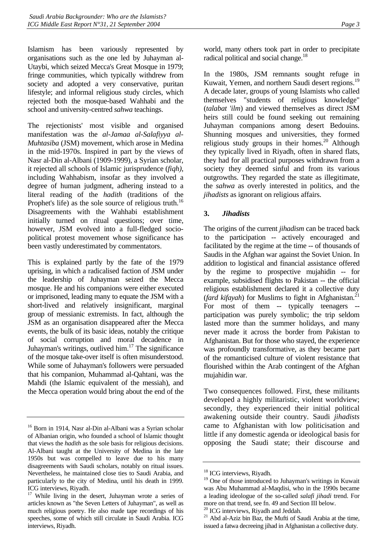<span id="page-6-0"></span>Islamism has been variously represented by organisations such as the one led by Juhayman al-Utaybi, which seized Mecca's Great Mosque in 1979; fringe communities, which typically withdrew from society and adopted a very conservative, puritan lifestyle; and informal religious study circles, which rejected both the mosque-based Wahhabi and the school and university-centred *sahwa* teachings.

The rejectionists' most visible and organised manifestation was the *al-Jamaa al-Salafiyya al-Muhtasiba* (JSM) movement, which arose in Medina in the mid-1970s. Inspired in part by the views of Nasr al-Din al-Albani (1909-1999), a Syrian scholar, it rejected all schools of Islamic jurisprudence (*fiqh)*, including Wahhabism, insofar as they involved a degree of human judgment, adhering instead to a literal reading of the *hadith* (traditions of the Prophet's life) as the sole source of religious truth.<sup>16</sup> Disagreements with the Wahhabi establishment initially turned on ritual questions; over time, however, JSM evolved into a full-fledged sociopolitical protest movement whose significance has been vastly underestimated by commentators.

This is explained partly by the fate of the 1979 uprising, in which a radicalised faction of JSM under the leadership of Juhayman seized the Mecca mosque. He and his companions were either executed or imprisoned, leading many to equate the JSM with a short-lived and relatively insignificant, marginal group of messianic extremists. In fact, although the JSM as an organisation disappeared after the Mecca events, the bulk of its basic ideas, notably the critique of social corruption and moral decadence in Juhayman's writings, outlived him. $17$  The significance of the mosque take-over itself is often misunderstood. While some of Juhayman's followers were persuaded that his companion, Muhammad al-Qahtani, was the Mahdi (the Islamic equivalent of the messiah), and the Mecca operation would bring about the end of the

In the 1980s, JSM remnants sought refuge in Kuwait, Yemen, and northern Saudi desert regions.<sup>19</sup> A decade later, groups of young Islamists who called themselves "students of religious knowledge" (*talabat 'ilm*) and viewed themselves as direct JSM heirs still could be found seeking out remaining Juhayman companions among desert Bedouins. Shunning mosques and universities, they formed religious study groups in their homes.<sup>20</sup> Although they typically lived in Riyadh, often in shared flats, they had for all practical purposes withdrawn from a society they deemed sinful and from its various outgrowths. They regarded the state as illegitimate, the *sahwa* as overly interested in politics, and the *jihadists* as ignorant on religious affairs.

#### **3.** *Jihadists*

The origins of the current *jihadism* can be traced back to the participation -- actively encouraged and facilitated by the regime at the time -- of thousands of Saudis in the Afghan war against the Soviet Union. In addition to logistical and financial assistance offered by the regime to prospective mujahidin -- for example, subsidised flights to Pakistan -- the official religious establishment declared it a collective duty (*fard kifayah*) for Muslims to fight in Afghanistan.<sup>21</sup> For most of them -- typically teenagers -participation was purely symbolic; the trip seldom lasted more than the summer holidays, and many never made it across the border from Pakistan to Afghanistan. But for those who stayed, the experience was profoundly transformative, as they became part of the romanticised culture of violent resistance that flourished within the Arab contingent of the Afghan mujahidin war.

Two consequences followed. First, these militants developed a highly militaristic, violent worldview; secondly, they experienced their initial political awakening outside their country. Saudi *jihadists*  came to Afghanistan with low politicisation and little if any domestic agenda or ideological basis for opposing the Saudi state; their discourse and

<span id="page-6-1"></span><sup>&</sup>lt;sup>16</sup> Born in 1914, Nasr al-Din al-Albani was a Syrian scholar of Albanian origin, who founded a school of Islamic thought that views the *hadith* as the sole basis for religious decisions. Al-Albani taught at the University of Medina in the late 1950s but was compelled to leave due to his many disagreements with Saudi scholars, notably on ritual issues. Nevertheless, he maintained close ties to Saudi Arabia, and particularly to the city of Medina, until his death in 1999. ICG interviews, Riyadh.

<span id="page-6-2"></span><sup>&</sup>lt;sup>17</sup> While living in the desert, Juhayman wrote a series of articles known as "the Seven Letters of Juhayman", as well as much religious poetry. He also made tape recordings of his speeches, some of which still circulate in Saudi Arabia. ICG interviews, Riyadh.

<span id="page-6-3"></span><sup>&</sup>lt;sup>18</sup> ICG interviews, Riyadh.

<span id="page-6-4"></span><sup>&</sup>lt;sup>19</sup> One of those introduced to Juhayman's writings in Kuwait was Abu Muhammad al-Maqdisi, who in the 1990s became a leading ideologue of the so-called *salafi jihadi* trend. For more on that trend, see fn. 49 and Section III below.

<span id="page-6-5"></span><sup>&</sup>lt;sup>20</sup> ICG interviews, Riyadh and Jeddah.

<span id="page-6-6"></span><sup>&</sup>lt;sup>21</sup> Abd al-Aziz bin Baz, the Mufti of Saudi Arabia at the time, issued a fatwa decreeing jihad in Afghanistan a collective duty.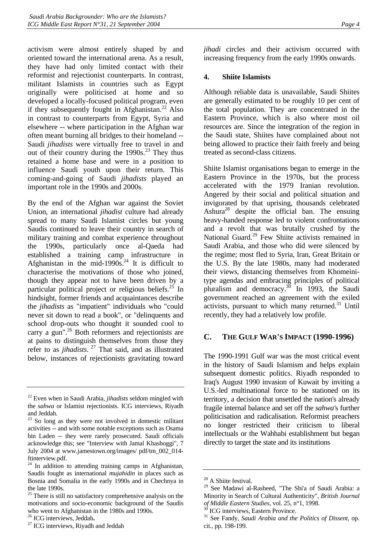<span id="page-7-0"></span>activism were almost entirely shaped by and oriented toward the international arena. As a result, they have had only limited contact with their reformist and rejectionist counterparts. In contrast, militant Islamists in countries such as Egypt originally were politicised at home and so developed a locally-focused political program, even if they subsequently fought in Afghanistan.<sup>22</sup> Also in contrast to counterparts from Egypt, Syria and elsewhere -- where participation in the Afghan war often meant burning all bridges to their homeland -- Saudi *jihadists* were virtually free to travel in and out of their country during the  $1990s<sup>23</sup>$  They thus retained a home base and were in a position to influence Saudi youth upon their return. This coming-and-going of Saudi *jihadists* played an important role in the 1990s and 2000s.

By the end of the Afghan war against the Soviet Union, an international *jihadist* culture had already spread to many Saudi Islamist circles but young Saudis continued to leave their country in search of military training and combat experience throughout the 1990s, particularly once al-Qaeda had established a training camp infrastructure in Afghanistan in the mid-1990s. $^{24}$  It is difficult to characterise the motivations of those who joined, though they appear not to have been driven by a particular political project or religious beliefs.<sup>25</sup> In hindsight, former friends and acquaintances describe the *jihadists* as "impatient" individuals who "could never sit down to read a book", or "delinquents and school drop-outs who thought it sounded cool to carry a gun".<sup>26</sup> Both reformers and rejectionists are at pains to distinguish themselves from those they refer to as *jihadists*. [27](#page-7-6) That said, and as illustrated below, instances of rejectionists gravitating toward *jihadi* circles and their activism occurred with increasing frequency from the early 1990s onwards.

#### **4. Shiite Islamists**

Although reliable data is unavailable, Saudi Shiites are generally estimated to be roughly 10 per cent of the total population. They are concentrated in the Eastern Province, which is also where most oil resources are. Since the integration of the region in the Saudi state, Shiites have complained about not being allowed to practice their faith freely and being treated as second-class citizens.

Shiite Islamist organisations began to emerge in the Eastern Province in the 1970s, but the process accelerated with the 1979 Iranian revolution. Angered by their social and political situation and invigorated by that uprising, thousands celebrated Ashura[28](#page-7-7) despite the official ban. The ensuing heavy-handed response led to violent confrontations and a revolt that was brutally crushed by the National Guard.<sup>29</sup> Few Shiite activists remained in Saudi Arabia, and those who did were silenced by the regime; most fled to Syria, Iran, Great Britain or the U.S. By the late 1980s, many had moderated their views, distancing themselves from Khomeinitype agendas and embracing principles of political pluralism and democracy. $30$  In 1993, the Saudi government reached an agreement with the exiled activists, pursuant to which many returned. $31$  Until recently, they had a relatively low profile.

# **C. THE GULF WAR'S IMPACT (1990-1996)**

The 1990-1991 Gulf war was the most critical event in the history of Saudi Islamism and helps explain subsequent domestic politics. Riyadh responded to Iraq's August 1990 invasion of Kuwait by inviting a U.S.-led multinational force to be stationed on its territory, a decision that unsettled the nation's already fragile internal balance and set off the *sahwa'*s further politicisation and radicalisation. Reformist preachers no longer restricted their criticism to liberal intellectuals or the Wahhabi establishment but began directly to target the state and its institutions

<span id="page-7-1"></span><sup>22</sup> Even when in Saudi Arabia, *jihadists* seldom mingled with the *sahwa* or Islamist rejectionists. ICG interviews, Riyadh and Jeddah.

<span id="page-7-2"></span> $23$  So long as they were not involved in domestic militant activities -- and with some notable exceptions such as Osama bin Laden -- they were rarely prosecuted. Saudi officials acknowledge this; see "Interview with Jamal Khashoggi", 7 July 2004 at www.jamestown.org/images/ pdf/tm\_002\_014 ftinterview.pdf.

<span id="page-7-3"></span><sup>&</sup>lt;sup>24</sup> In addition to attending training camps in Afghanistan, Saudis fought as international *mujahidin* in places such as Bosnia and Somalia in the early 1990s and in Chechnya in the late 1990s.

<span id="page-7-4"></span><sup>&</sup>lt;sup>25</sup> There is still no satisfactory comprehensive analysis on the motivations and socio-economic background of the Saudis who went to Afghanistan in the 1980s and 1990s.  $^{26}$  ICG interviews, Jeddah.

<span id="page-7-5"></span>

<span id="page-7-6"></span><sup>&</sup>lt;sup>27</sup> ICG interviews, Riyadh and Jeddah

<span id="page-7-7"></span><sup>&</sup>lt;sup>28</sup> A Shiite festival.

<span id="page-7-8"></span><sup>29</sup> See Madawi al-Rasheed, "The Shi'a of Saudi Arabia: a Minority in Search of Cultural Authenticity", *British Journal* of *Middle Eastern Studies*, vol. 25, n°1, 1998.

<span id="page-7-9"></span>

<span id="page-7-10"></span>

<sup>&</sup>lt;sup>30</sup> ICG interviews, Eastern Province.<br><sup>31</sup> See Fandy, *Saudi Arabia and the Politics of Dissent*, op. cit., pp. 198-199.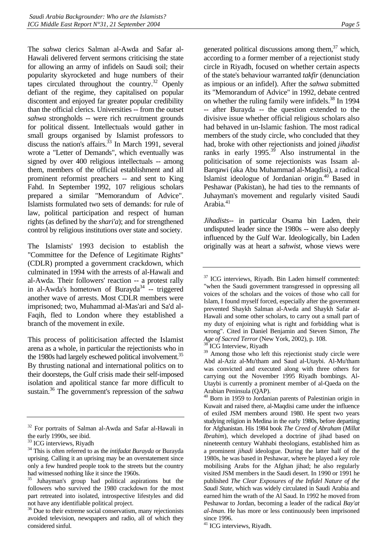The *sahwa* clerics Salman al-Awda and Safar al-Hawali delivered fervent sermons criticising the state for allowing an army of infidels on Saudi soil; their popularity skyrocketed and huge numbers of their tapes circulated throughout the country. $32$  Openly defiant of the regime, they capitalised on popular discontent and enjoyed far greater popular credibility than the official clerics. Universities -- from the outset *sahwa* strongholds -- were rich recruitment grounds for political dissent. Intellectuals would gather in small groups organised by Islamist professors to discuss the nation's affairs.<sup> $33$ </sup> In March 1991, several wrote a "Letter of Demands", which eventually was signed by over 400 religious intellectuals -- among them, members of the official establishment and all prominent reformist preachers -- and sent to King Fahd. In September 1992, 107 religious scholars prepared a similar "Memorandum of Advice". Islamists formulated two sets of demands: for rule of law, political participation and respect of human rights (as defined by the *shari'a*); and for strengthened control by religious institutions over state and society.

The Islamists' 1993 decision to establish the "Committee for the Defence of Legitimate Rights" (CDLR) prompted a government crackdown, which culminated in 1994 with the arrests of al-Hawali and al-Awda. Their followers' reaction -- a protest rally in al-Awda's hometown of Burayda<sup>34</sup> -- triggered another wave of arrests. Most CDLR members were imprisoned; two, Muhammad al-Mas'ari and Sa'd al-Faqih, fled to London where they established a branch of the movement in exile.

This process of politicisation affected the Islamist arena as a whole, in particular the rejectionists who in the 1980s had largely eschewed political involvement.<sup>35</sup> By thrusting national and international politics on to their doorsteps, the Gulf crisis made their self-imposed isolation and apolitical stance far more difficult to sustain.[36](#page-8-4) The government's repression of the *sahwa* 

generated political discussions among them, $37$  which, according to a former member of a rejectionist study circle in Riyadh, focused on whether certain aspects of the state's behaviour warranted *takfir* (denunciation as impious or an infidel). After the *sahwa* submitted its "Memorandum of Advice" in 1992, debate centred on whether the ruling family were infidels.<sup>38</sup> In 1994 -- after Burayda -- the question extended to the divisive issue whether official religious scholars also had behaved in un-Islamic fashion. The most radical members of the study circle, who concluded that they had, broke with other rejectionists and joined *jihadist*  ranks in early  $1995.^{36}$  Also instrumental in the politicisation of some rejectionists was Issam al-Barqawi (aka Abu Muhammad al-Maqdisi), a radical Islamist ideologue of Jordanian origin[.40](#page-8-8) Based in Peshawar (Pakistan), he had ties to the remnants of Juhayman's movement and regularly visited Saudi Arabia.[41](#page-8-9) 

*Jihadists*-- in particular Osama bin Laden, their undisputed leader since the 1980s -- were also deeply influenced by the Gulf War. Ideologically, bin Laden originally was at heart a *sahwist*, whose views were

<span id="page-8-6"></span>

<span id="page-8-8"></span> $40$  Born in 1959 to Jordanian parents of Palestinian origin in Kuwait and raised there, al-Maqdisi came under the influence of exiled JSM members around 1980. He spent two years studying religion in Medina in the early 1980s, before departing for Afghanistan. His 1984 book *The Creed of Abraham* (*Millat Ibrahim*), which developed a doctrine of jihad based on nineteenth century Wahhabi theologians, established him as a prominent *jihadi* ideologue. During the latter half of the 1980s, he was based in Peshawar, where he played a key role mobilising Arabs for the Afghan jihad; he also regularly visited JSM members in the Saudi desert. In 1990 or 1991 he published *The Clear Exposures of the Infidel Nature of the Saudi State*, which was widely circulated in Saudi Arabia and earned him the wrath of the Al Saud. In 1992 he moved from Peshawar to Jordan, becoming a leader of the radical *Bay'at al-Iman*. He has more or less continuously been imprisoned since 1996.

<span id="page-8-9"></span><sup>41</sup> ICG interviews, Riyadh.

<span id="page-8-0"></span><sup>&</sup>lt;sup>32</sup> For portraits of Salman al-Awda and Safar al-Hawali in the early 1990s, see ibid.

<span id="page-8-1"></span><sup>&</sup>lt;sup>33</sup> ICG interviews, Riyadh

<span id="page-8-2"></span><sup>34</sup> This is often referred to as the *intifadat Burayda* or Burayda uprising. Calling it an uprising may be an overstatement since only a few hundred people took to the streets but the country had witnessed nothing like it since the 1960s.

<span id="page-8-3"></span><sup>35</sup> Juhayman's group had political aspirations but the followers who survived the 1980 crackdown for the most part retreated into isolated, introspective lifestyles and did not have any identifiable political project.

<span id="page-8-4"></span><sup>&</sup>lt;sup>36</sup> Due to their extreme social conservatism, many rejectionists avoided television, newspapers and radio, all of which they considered sinful.

<span id="page-8-5"></span><sup>&</sup>lt;sup>37</sup> ICG interviews, Riyadh. Bin Laden himself commented: "when the Saudi government transgressed in oppressing all voices of the scholars and the voices of those who call for Islam, I found myself forced, especially after the government prevented Shaykh Salman al-Awda and Shaykh Safar al-Hawali and some other scholars, to carry out a small part of my duty of enjoining what is right and forbidding what is wrong". Cited in Daniel Benjamin and Steven Simon, *The Age of Sacred Terror* (New York, 2002), p. 108. 38 ICG Interview, Riyadh

<span id="page-8-7"></span><sup>&</sup>lt;sup>39</sup> Among those who left this rejectionist study circle were Abd al-Aziz al-Mu'tham and Saud al-Utaybi. Al-Mu'tham was convicted and executed along with three others for carrying out the November 1995 Riyadh bombings. Al-Utaybi is currently a prominent member of al-Qaeda on the Arabian Peninsula (QAP).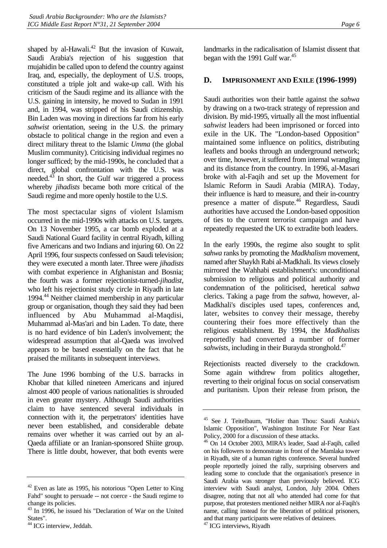<span id="page-9-0"></span>shaped by al-Hawali. $42$  But the invasion of Kuwait, Saudi Arabia's rejection of his suggestion that mujahidin be called upon to defend the country against Iraq, and, especially, the deployment of U.S. troops, constituted a triple jolt and wake-up call. With his criticism of the Saudi regime and its alliance with the U.S. gaining in intensity, he moved to Sudan in 1991 and, in 1994, was stripped of his Saudi citizenship. Bin Laden was moving in directions far from his early *sahwist* orientation, seeing in the U.S. the primary obstacle to political change in the region and even a direct military threat to the Islamic *Umma* (the global Muslim community). Criticising individual regimes no longer sufficed; by the mid-1990s, he concluded that a direct, global confrontation with the U.S. was needed. $4\frac{3}{3}$  In short, the Gulf war triggered a process whereby *jihadists* became both more critical of the Saudi regime and more openly hostile to the U.S.

The most spectacular signs of violent Islamism occurred in the mid-1990s with attacks on U.S. targets. On 13 November 1995, a car bomb exploded at a Saudi National Guard facility in central Riyadh, killing five Americans and two Indians and injuring 60. On 22 April 1996, four suspects confessed on Saudi television; they were executed a month later. Three were *jihadists*  with combat experience in Afghanistan and Bosnia; the fourth was a former rejectionist-turned-*jihadist*, who left his rejectionist study circle in Riyadh in late 1994.[44 N](#page-9-3)either claimed membership in any particular group or organisation, though they said they had been influenced by Abu Muhammad al-Maqdisi, Muhammad al-Mas'ari and bin Laden. To date, there is no hard evidence of bin Laden's involvement; the widespread assumption that al-Qaeda was involved appears to be based essentially on the fact that he praised the militants in subsequent interviews.

The June 1996 bombing of the U.S. barracks in Khobar that killed nineteen Americans and injured almost 400 people of various nationalities is shrouded in even greater mystery. Although Saudi authorities claim to have sentenced several individuals in connection with it, the perpetrators' identities have never been established, and considerable debate remains over whether it was carried out by an al-Qaeda affiliate or an Iranian-sponsored Shiite group. There is little doubt, however, that both events were landmarks in the radicalisation of Islamist dissent that began with the 1991 Gulf war.<sup>45</sup>

# **D. IMPRISONMENT AND EXILE (1996-1999)**

Saudi authorities won their battle against the *sahwa*  by drawing on a two-track strategy of repression and division. By mid-1995, virtually all the most influential *sahwist* leaders had been imprisoned or forced into exile in the UK. The "London-based Opposition" maintained some influence on politics, distributing leaflets and books through an underground network; over time, however, it suffered from internal wrangling and its distance from the country. In 1996, al-Masari broke with al-Faqih and set up the Movement for Islamic Reform in Saudi Arabia (MIRA). Today, their influence is hard to measure, and their in-country presence a matter of dispute.<sup>46</sup> Regardless, Saudi authorities have accused the London-based opposition of ties to the current terrorist campaign and have repeatedly requested the UK to extradite both leaders.

In the early 1990s, the regime also sought to split *sahwa* ranks by promoting the *Madkhalism* movement, named after Shaykh Rabi al-Madkhali. Its views closely mirrored the Wahhabi establishment's: unconditional submission to religious and political authority and condemnation of the politicised, heretical *sahwa*  clerics. Taking a page from the *sahwa*, however, al-Madkhali's disciples used tapes, conferences and, later, websites to convey their message, thereby countering their foes more effectively than the religious establishment. By 1994, the *Madkhalists*  reportedly had converted a number of former *sahwists*, including in their Burayda stronghold.<sup>47</sup>

Rejectionists reacted diversely to the crackdown. Some again withdrew from politics altogether, reverting to their original focus on social conservatism and puritanism. Upon their release from prison, the

<span id="page-9-1"></span> $42$  Even as late as 1995, his notorious "Open Letter to King" Fahd" sought to persuade -- not coerce - the Saudi regime to change its policies.

<span id="page-9-2"></span><sup>43</sup> In 1996, he issued his "Declaration of War on the United States".

<span id="page-9-3"></span><sup>&</sup>lt;sup>44</sup> ICG interview, Jeddah.

<span id="page-9-4"></span><sup>45</sup> See J. Teitelbaum, "Holier than Thou: Saudi Arabia's Islamic Opposition", Washington Institute For Near East Policy, 2000 for a discussion of these attacks.

<span id="page-9-5"></span><sup>46</sup> On 14 October 2003, MIRA's leader, Saad al-Faqih, called on his followers to demonstrate in front of the Mamlaka tower in Riyadh, site of a human rights conference. Several hundred people reportedly joined the rally, surprising observers and leading some to conclude that the organisation's presence in Saudi Arabia was stronger than previously believed. ICG interview with Saudi analyst, London, July 2004. Others disagree, noting that not all who attended had come for that purpose, that protesters mentioned neither MIRA nor al-Faqih's name, calling instead for the liberation of political prisoners, and that many participants were relatives of detainees.

<span id="page-9-6"></span><sup>&</sup>lt;sup>47</sup> ICG interviews, Riyadh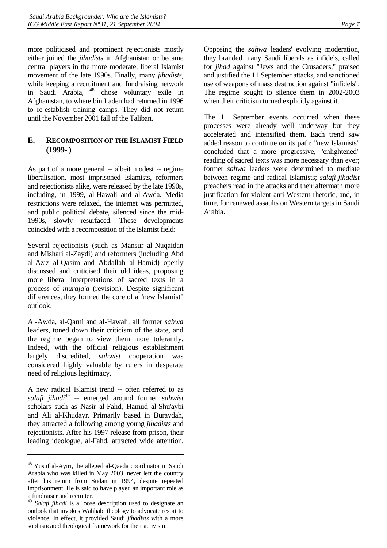<span id="page-10-0"></span>more politicised and prominent rejectionists mostly either joined the *jihadists* in Afghanistan or became central players in the more moderate, liberal Islamist movement of the late 1990s. Finally, many *jihadists*, while keeping a recruitment and fundraising network in Saudi Arabia, [48](#page-10-1) chose voluntary exile in Afghanistan, to where bin Laden had returned in 1996 to re-establish training camps. They did not return until the November 2001 fall of the Taliban.

# **E. RECOMPOSITION OF THE ISLAMIST FIELD (1999- )**

As part of a more general -- albeit modest -- regime liberalisation, most imprisoned Islamists, reformers and rejectionists alike, were released by the late 1990s, including, in 1999, al-Hawali and al-Awda. Media restrictions were relaxed, the internet was permitted, and public political debate, silenced since the mid-1990s, slowly resurfaced. These developments coincided with a recomposition of the Islamist field:

Several rejectionists (such as Mansur al-Nuqaidan and Mishari al-Zaydi) and reformers (including Abd al-Aziz al-Qasim and Abdallah al-Hamid) openly discussed and criticised their old ideas, proposing more liberal interpretations of sacred texts in a process of *muraja'a* (revision). Despite significant differences, they formed the core of a "new Islamist" outlook.

Al-Awda, al-Qarni and al-Hawali, all former *sahwa* leaders, toned down their criticism of the state, and the regime began to view them more tolerantly. Indeed, with the official religious establishment largely discredited, *sahwist* cooperation was considered highly valuable by rulers in desperate need of religious legitimacy.

A new radical Islamist trend -- often referred to as *salafi jihadi*[49](#page-10-2) *--* emerged around former *sahwist*  scholars such as Nasir al-Fahd, Hamud al-Shu'aybi and Ali al-Khudayr. Primarily based in Buraydah, they attracted a following among young *jihadists* and rejectionists. After his 1997 release from prison, their leading ideologue, al-Fahd, attracted wide attention.

Opposing the *sahwa* leaders' evolving moderation, they branded many Saudi liberals as infidels, called for *jihad* against "Jews and the Crusaders," praised and justified the 11 September attacks, and sanctioned use of weapons of mass destruction against "infidels". The regime sought to silence them in 2002-2003 when their criticism turned explicitly against it.

The 11 September events occurred when these processes were already well underway but they accelerated and intensified them. Each trend saw added reason to continue on its path: "new Islamists" concluded that a more progressive, "enlightened" reading of sacred texts was more necessary than ever; former *sahwa* leaders were determined to mediate between regime and radical Islamists; *salafi-jihadist*  preachers read in the attacks and their aftermath more justification for violent anti-Western rhetoric, and, in time, for renewed assaults on Western targets in Saudi Arabia.

<span id="page-10-1"></span><sup>48</sup> Yusuf al-Ayiri, the alleged al-Qaeda coordinator in Saudi Arabia who was killed in May 2003, never left the country after his return from Sudan in 1994, despite repeated imprisonment. He is said to have played an important role as a fundraiser and recruiter.

<span id="page-10-2"></span>Salafi jihadi is a loose description used to designate an outlook that invokes Wahhabi theology to advocate resort to violence. In effect, it provided Saudi *jihadists* with a more sophisticated theological framework for their activism.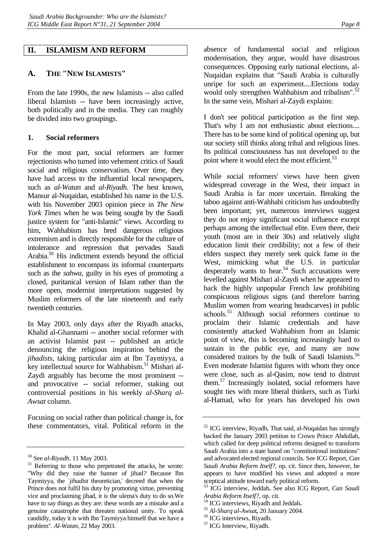# <span id="page-11-0"></span>**II. ISLAMISM AND REFORM**

# **A. THE "NEW ISLAMISTS"**

From the late 1990s, the new Islamists -- also called liberal Islamists -- have been increasingly active, both politically and in the media. They can roughly be divided into two groupings.

#### **1. Social reformers**

For the most part, social reformers are former rejectionists who turned into vehement critics of Saudi social and religious conservatism. Over time, they have had access to the influential local newspapers, such as *al-Watan* and *al-Riyadh*. The best known, Mansur al-Nuqaidan, established his name in the U.S. with his November 2003 opinion piece in *The New York Times* when he was being sought by the Saudi justice system for "anti-Islamic" views. According to him, Wahhabism has bred dangerous religious extremism and is directly responsible for the culture of intolerance and repression that pervades Saudi Arabia[.50](#page-11-1) His indictment extends beyond the official establishment to encompass its informal counterparts such as the *sahwa,* guilty in his eyes of promoting a closed, puritanical version of Islam rather than the more open, modernist interpretations suggested by Muslim reformers of the late nineteenth and early twentieth centuries.

In May 2003, only days after the Riyadh attacks, Khalid al-Ghannami -- another social reformer with an activist Islamist past -- published an article denouncing the religious inspiration behind the *jihadists*, taking particular aim at Ibn Taymiyya, a key intellectual source for Wahhabism.<sup>51</sup> Mishari al-Zaydi arguably has become the most prominent - and provocative -- social reformer, staking out controversial positions in his weekly *al-Sharq al-Awsat* column.

Focusing on social rather than political change is, for these commentators, vital. Political reform in the absence of fundamental social and religious modernisation, they argue, would have disastrous consequences. Opposing early national elections, al-Nuqaidan explains that "Saudi Arabia is culturally unripe for such an experiment....Elections today would only strengthen Wahhabism and tribalism". $52$ In the same vein, Mishari al-Zaydi explains:

I don't see political participation as the first step. That's why I am not enthusiastic about elections.... There has to be some kind of political opening up, but our society still thinks along tribal and religious lines. Its political consciousness has not developed to the point where it would elect the most efficient.<sup>[53](#page-11-4)</sup>

While social reformers' views have been given widespread coverage in the West, their impact in Saudi Arabia is far more uncertain. Breaking the taboo against anti-Wahhabi criticism has undoubtedly been important; yet, numerous interviews suggest they do not enjoy significant social influence except perhaps among the intellectual elite. Even there, their youth (most are in their 30s) and relatively slight education limit their credibility; not a few of their elders suspect they merely seek quick fame in the West, mimicking what the U.S. in particular desperately wants to hear.<sup>54</sup> Such accusations were levelled against Mishari al-Zaydi when he appeared to back the highly unpopular French law prohibiting conspicuous religious signs (and therefore barring Muslim women from wearing headscarves) in public schools.<sup>55</sup> Although social reformers continue to proclaim their Islamic credentials and have consistently attacked Wahhabism from an Islamic point of view, this is becoming increasingly hard to sustain in the public eye, and many are now considered traitors by the bulk of Saudi Islamists.<sup>56</sup> Even moderate Islamist figures with whom they once were close, such as al-Qasim, now tend to distrust them[.57](#page-11-8) Increasingly isolated, social reformers have sought ties with more liberal thinkers, such as Turki al-Hamad, who for years has developed his own

<span id="page-11-2"></span><span id="page-11-1"></span>

 $^{50}$  See *al-Riyadh*, 11 May 2003.<br><sup>51</sup> Referring to those who perpetrated the attacks, he wrote: "Why did they raise the banner of jihad*?* Because Ibn Taymiyya, the `*jihadist* theoretician,' decreed that when the Prince does not fulfil his duty by promoting virtue, preventing vice and proclaiming jihad, it is the ulema's duty to do so.We have to say things as they are: these words are a mistake and a genuine catastrophe that threaten national unity. To speak candidly, today it is with Ibn Taymiyya himself that we have a problem". *Al-Watan*, 22 May 2003.

<span id="page-11-3"></span><sup>52</sup> ICG interview, Riyadh**.** That said, al-Nuqaidan has strongly backed the January 2003 petition to Crown Prince Abdullah, which called for deep political reforms designed to transform Saudi Arabia into a state based on "constitutional institutions" and advocated elected regional councils. See ICG Report, *Can Saudi Arabia Reform Itself?,* op. cit. Since then, however, he appears to have modified his views and adopted a more sceptical attitude toward early political reform.

<span id="page-11-4"></span><sup>53</sup> ICG interview, Jeddah**.** See also ICG Report, *Can Saudi* 

<span id="page-11-6"></span><span id="page-11-5"></span>

*Arabia Reform Itself?*, op. cit*.* 54 ICG interviews, Riyadh and Jeddah**.** <sup>55</sup> *Al-Sharq al-Awsat,* 20 January 2004. 56 ICG interviews, Riyadh.

<span id="page-11-7"></span>

<span id="page-11-8"></span><sup>57</sup> ICG Interview, Riyadh.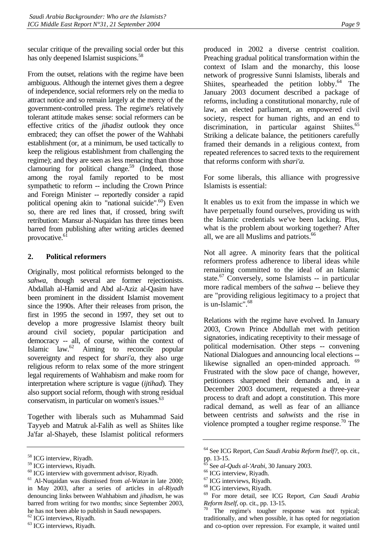<span id="page-12-0"></span>secular critique of the prevailing social order but this has only deepened Islamist suspicions.<sup>[58](#page-12-1)</sup>

From the outset, relations with the regime have been ambiguous. Although the internet gives them a degree of independence, social reformers rely on the media to attract notice and so remain largely at the mercy of the government-controlled press. The regime's relatively tolerant attitude makes sense: social reformers can be effective critics of the *jihadist* outlook they once embraced; they can offset the power of the Wahhabi establishment (or, at a minimum, be used tactically to keep the religious establishment from challenging the regime); and they are seen as less menacing than those clamouring for political change.<sup>59</sup> (Indeed, those among the royal family reported to be most sympathetic to reform -- including the Crown Prince and Foreign Minister -- reportedly consider a rapid political opening akin to "national suicide". $60$ ) Even so, there are red lines that, if crossed, bring swift retribution: Mansur al-Nuqaidan has three times been barred from publishing after writing articles deemed provocative.<sup>61</sup>

#### **2. Political reformers**

Originally, most political reformists belonged to the *sahwa,* though several are former rejectionists. Abdallah al-Hamid and Abd al-Aziz al-Qasim have been prominent in the dissident Islamist movement since the 1990s. After their releases from prison, the first in 1995 the second in 1997, they set out to develop a more progressive Islamist theory built around civil society, popular participation and democracy -- all, of course, within the context of Islamic law[.62](#page-12-5) Aiming to reconcile popular sovereignty and respect for *shari'a*, they also urge religious reform to relax some of the more stringent legal requirements of Wahhabism and make room for interpretation where scripture is vague (*ijtihad*). They also support social reform, though with strong residual conservatism, in particular on women's issues.<sup>63</sup>

Together with liberals such as Muhammad Said Tayyeb and Matruk al-Falih as well as Shiites like Ja'far al-Shayeb, these Islamist political reformers

<span id="page-12-3"></span><sup>60</sup> ICG interview with government advisor, Riyadh.

produced in 2002 a diverse centrist coalition. Preaching gradual political transformation within the context of Islam and the monarchy, this loose network of progressive Sunni Islamists, liberals and Shiites, spearheaded the petition lobby.<sup>64</sup> The January 2003 document described a package of reforms, including a constitutional monarchy, rule of law, an elected parliament, an empowered civil society, respect for human rights, and an end to discrimination, in particular against Shiites.<sup>65</sup> Striking a delicate balance, the petitioners carefully framed their demands in a religious context, from repeated references to sacred texts to the requirement that reforms conform with *shari'a.* 

For some liberals, this alliance with progressive Islamists is essential:

It enables us to exit from the impasse in which we have perpetually found ourselves, providing us with the Islamic credentials we've been lacking. Plus, what is the problem about working together? After all, we are all Muslims and patriots.<sup>66</sup>

Not all agree. A minority fears that the political reformers profess adherence to liberal ideas while remaining committed to the ideal of an Islamic state.<sup>67</sup> Conversely, some Islamists -- in particular more radical members of the *sahwa* -- believe they are "providing religious legitimacy to a project that is un-Islamic"[.68](#page-12-11)

Relations with the regime have evolved. In January 2003, Crown Prince Abdullah met with petition signatories, indicating receptivity to their message of political modernisation. Other steps -- convening National Dialogues and announcing local elections -- likewise signalled an open-minded approach. <sup>[69](#page-12-12)</sup> Frustrated with the slow pace of change, however, petitioners sharpened their demands and, in a December 2003 document, requested a three-year process to draft and adopt a constitution. This more radical demand, as well as fear of an alliance between centrists and *sahwists* and the rise in violence prompted a tougher regime response.<sup>70</sup> The

<span id="page-12-1"></span><sup>58</sup> ICG interview, Riyadh.

<span id="page-12-2"></span><sup>59</sup> ICG interviews, Riyadh.

<span id="page-12-4"></span><sup>61</sup> Al-Nuqaidan was dismissed from *al-Watan* in late 2000; in May 2003, after a series of articles in *al-Riyadh*  denouncing links between Wahhabism and *jihadism*, he was barred from writing for two months; since September 2003, he has not been able to publish in Saudi newspapers.

<span id="page-12-5"></span><sup>62</sup> ICG interviews, Riyadh.

<span id="page-12-6"></span><sup>63</sup> ICG interviews, Riyadh.

<span id="page-12-7"></span><sup>64</sup> See ICG Report, *Can Saudi Arabia Reform Itself?,* op. cit*.,*  pp. 13-15.

<span id="page-12-8"></span><sup>65</sup> See *al-Quds al-'Arabi*, 30 January 2003. 66 ICG interview, Riyadh.

<span id="page-12-9"></span>

<span id="page-12-10"></span><sup>67</sup> ICG interviews, Riyadh.

<span id="page-12-11"></span><sup>68</sup> ICG interviews, Riyadh.

<span id="page-12-12"></span><sup>69</sup> For more detail, see ICG Report, *Can Saudi Arabia Reform Itself,* op. cit., pp. 13-15.<br><sup>70</sup> The regime's tougher response was not typical;

<span id="page-12-13"></span>traditionally, and when possible, it has opted for negotiation and co-option over repression. For example, it waited until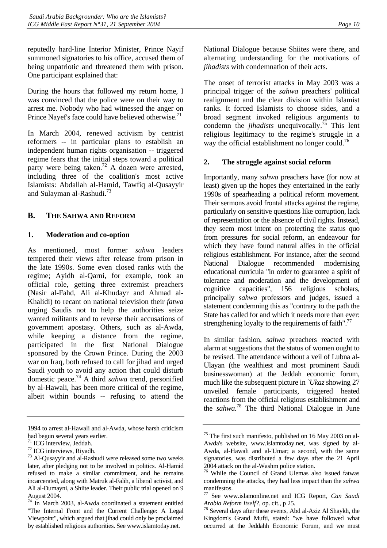<span id="page-13-0"></span>reputedly hard-line Interior Minister, Prince Nayif summoned signatories to his office, accused them of being unpatriotic and threatened them with prison. One participant explained that:

During the hours that followed my return home, I was convinced that the police were on their way to arrest me. Nobody who had witnessed the anger on Prince Nayef's face could have believed otherwise.<sup>[71](#page-13-1)</sup>

In March 2004, renewed activism by centrist reformers -- in particular plans to establish an independent human rights organisation -- triggered regime fears that the initial steps toward a political party were being taken.<sup>72</sup> A dozen were arrested, including three of the coalition's most active Islamists: Abdallah al-Hamid, Tawfiq al-Qusayyir and Sulayman al-Rashudi.[73](#page-13-3) 

# **B. THE SAHWA AND REFORM**

#### **1. Moderation and co-option**

As mentioned, most former *sahwa* leaders tempered their views after release from prison in the late 1990s. Some even closed ranks with the regime; Ayidh al-Qarni, for example, took an official role, getting three extremist preachers (Nasir al-Fahd, Ali al-Khudayr and Ahmad al-Khalidi) to recant on national television their *fatwa*  urging Saudis not to help the authorities seize wanted militants and to reverse their accusations of government apostasy. Others, such as al-Awda, while keeping a distance from the regime, participated in the first National Dialogue sponsored by the Crown Prince. During the 2003 war on Iraq, both refused to call for jihad and urged Saudi youth to avoid any action that could disturb domestic peace[.74](#page-13-4) A third *sahwa* trend, personified by al-Hawali, has been more critical of the regime, albeit within bounds -- refusing to attend the

National Dialogue because Shiites were there, and alternating understanding for the motivations of *jihadists* with condemnation of their acts.

The onset of terrorist attacks in May 2003 was a principal trigger of the *sahwa* preachers' political realignment and the clear division within Islamist ranks. It forced Islamists to choose sides, and a broad segment invoked religious arguments to condemn the *jihadists* unequivocally[.75](#page-13-5) This lent religious legitimacy to the regime's struggle in a way the official establishment no longer could.<sup>76</sup>

#### **2. The struggle against social reform**

Importantly, many *sahwa* preachers have (for now at least) given up the hopes they entertained in the early 1990s of spearheading a political reform movement. Their sermons avoid frontal attacks against the regime, particularly on sensitive questions like corruption, lack of representation or the absence of civil rights. Instead, they seem most intent on protecting the status quo from pressures for social reform, an endeavour for which they have found natural allies in the official religious establishment. For instance, after the second National Dialogue recommended modernising educational curricula "in order to guarantee a spirit of tolerance and moderation and the development of cognitive capacities", 156 religious scholars, principally *sahwa* professors and judges, issued a statement condemning this as "contrary to the path the State has called for and which it needs more than ever: strengthening loyalty to the requirements of faith". $^{77}$ 

In similar fashion, *sahwa* preachers reacted with alarm at suggestions that the status of women ought to be revised. The attendance without a veil of Lubna al-Ulayan (the wealthiest and most prominent Saudi businesswoman) at the Jeddah economic forum, much like the subsequent picture in *`Ukaz* showing 27 unveiled female participants, triggered heated reactions from the official religious establishment and the *sahwa.*[78](#page-13-8) The third National Dialogue in June

<sup>1994</sup> to arrest al-Hawali and al-Awda, whose harsh criticism had begun several years earlier.

<span id="page-13-1"></span><sup>71</sup> ICG interview, Jeddah.

<span id="page-13-2"></span><sup>72</sup> ICG interviews, Riyadh.

<span id="page-13-3"></span><sup>73</sup> Al-Qusayyir and al-Rashudi were released some two weeks later, after pledging not to be involved in politics. Al-Hamid refused to make a similar commitment, and he remains incarcerated, along with Matruk al-Falih, a liberal activist, and Ali al-Dumayni, a Shiite leader. Their public trial opened on 9 August 2004.

<span id="page-13-4"></span><sup>74</sup> In March 2003, al-Awda coordinated a statement entitled "The Internal Front and the Current Challenge: A Legal Viewpoint", which argued that jihad could only be proclaimed by established religious authorities. See [www.islamtoday.net](http://www.islamtoday.net/).

<span id="page-13-5"></span><sup>&</sup>lt;sup>75</sup> The first such manifesto, published on 16 May 2003 on al-Awda's website, [www.islamtoday.net,](http://www.islamtoday.net/) was signed by al-Awda, al-Hawali and al-'Umar; a second, with the same signatories, was distributed a few days after the 21 April 2004 attack on the al-Washm police station.

<span id="page-13-6"></span><sup>76</sup> While the Council of Grand Ulemas also issued fatwas condemning the attacks, they had less impact than the *sahwa* manifestos.

<span id="page-13-7"></span><sup>77</sup> See [www.islamonline.net](http://www.islamonline.,net/) and ICG Report, *Can Saudi* 

<span id="page-13-8"></span>*Arabia Reform Itself?*, op. cit., p 25.<br><sup>78</sup> Several days after these events, Abd al-Aziz Al Shaykh, the Kingdom's Grand Mufti, stated: "we have followed what occurred at the Jeddahh Economic Forum, and we must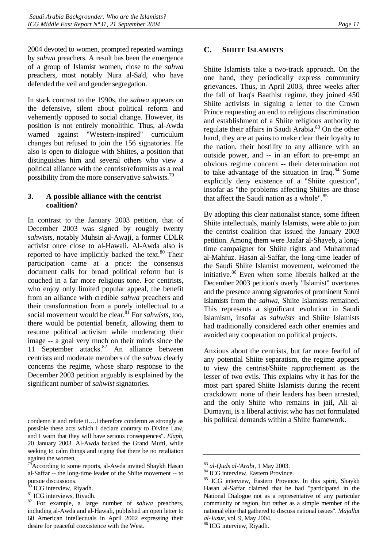<span id="page-14-0"></span>2004 devoted to women, prompted repeated warnings by *sahwa* preachers. A result has been the emergence of a group of Islamist women, close to the *sahwa*  preachers, most notably Nura al-Sa'd, who have defended the veil and gender segregation.

In stark contrast to the 1990s, the *sahwa* appears on the defensive, silent about political reform and vehemently opposed to social change. However, its position is not entirely monolithic. Thus, al-Awda warned against "Western-inspired" curriculum changes but refused to join the 156 signatories. He also is open to dialogue with Shiites, a position that distinguishes him and several others who view a political alliance with the centrist/reformists as a real possibility from the more conservative *sahwists.*[79](#page-14-1) 

#### **3. A possible alliance with the centrist coalition?**

In contrast to the January 2003 petition, that of December 2003 was signed by roughly twenty *sahwists,* notably Muhsin al-Awaji, a former CDLR activist once close to al-Hawali. Al-Awda also is reported to have implicitly backed the text. $80$  Their participation came at a price: the consensus document calls for broad political reform but is couched in a far more religious tone. For centrists, who enjoy only limited popular appeal, the benefit from an alliance with credible *sahwa* preachers and their transformation from a purely intellectual to a social movement would be clear.[81](#page-14-3) For *sahwists*, too, there would be potential benefit, allowing them to resume political activism while moderating their image -- a goal very much on their minds since the 11 September attacks.<sup>82</sup> An alliance between centrists and moderate members of the *sahwa* clearly concerns the regime, whose sharp response to the December 2003 petition arguably is explained by the significant number of *sahwist* signatories.

### **C. SHIITE ISLAMISTS**

Shiite Islamists take a two-track approach. On the one hand, they periodically express community grievances. Thus, in April 2003, three weeks after the fall of Iraq's Baathist regime, they joined 450 Shiite activists in signing a letter to the Crown Prince requesting an end to religious discrimination and establishment of a Shiite religious authority to regulate their affairs in Saudi Arabia.<sup>83</sup> On the other hand, they are at pains to make clear their loyalty to the nation, their hostility to any alliance with an outside power, and -- in an effort to pre-empt an obvious regime concern -- their determination not to take advantage of the situation in Iraq. $84$  Some explicitly deny existence of a "Shiite question", insofar as "the problems affecting Shiites are those that affect the Saudi nation as a whole".<sup>85</sup>

By adopting this clear nationalist stance, some fifteen Shiite intellectuals, mainly Islamists, were able to join the centrist coalition that issued the January 2003 petition. Among them were Jaafar al-Shayeb, a longtime campaigner for Shiite rights and Muhammad al-Mahfuz. Hasan al-Saffar, the long-time leader of the Saudi Shiite Islamist movement, welcomed the initiative.<sup>86</sup> Even when some liberals balked at the December 2003 petition's overly "Islamist" overtones and the presence among signatories of prominent Sunni Islamists from the *sahwa*, Shiite Islamists remained. This represents a significant evolution in Saudi Islamism, insofar as *sahwists* and Shiite Islamists had traditionally considered each other enemies and avoided any cooperation on political projects.

Anxious about the centrists, but far more fearful of any potential Shiite separatism, the regime appears to view the centrist/Shiite rapprochement as the lesser of two evils. This explains why it has for the most part spared Shiite Islamists during the recent crackdown: none of their leaders has been arrested, and the only Shiite who remains in jail, Ali al-Dumayni, is a liberal activist who has not formulated his political demands within a Shiite framework.

condemn it and refute it….I therefore condemn as strongly as possible these acts which I declare contrary to Divine Law, and I warn that they will have serious consequences". *Elaph*, 20 January 2003. Al-Awda backed the Grand Mufti, while seeking to calm things and urging that there be no retaliation against the women.

<span id="page-14-1"></span><sup>&</sup>lt;sup>79</sup> According to some reports, al-Awda invited Shaykh Hasan al-Saffar -- the long-time leader of the Shiite movement -- to pursue discussions.

<span id="page-14-2"></span> $80$  ICG interview, Riyadh.

<span id="page-14-3"></span><sup>&</sup>lt;sup>81</sup> ICG interviews, Riyadh.

<span id="page-14-4"></span><sup>82</sup> For example, a large number of *sahwa* preachers, including al-Awda and al-Hawali, published an open letter to 60 American intellectuals in April 2002 expressing their desire for peaceful coexistence with the West.

<span id="page-14-5"></span><sup>&</sup>lt;sup>83</sup> *al-Quds al-'Arabi*, 1 May 2003.<br><sup>84</sup> ICG interview, Eastern Province.

<span id="page-14-6"></span>

<span id="page-14-7"></span><sup>85</sup> ICG interview, Eastern Province. In this spirit, Shaykh Hasan al-Saffar claimed that he had "participated in the National Dialogue not as a representative of any particular community or region, but rather as a simple member of the national elite that gathered to discuss national issues". *Majallat* 

<span id="page-14-8"></span>*al-Jusur*, vol. 9, May 2004. 86 ICG interview, Riyadh.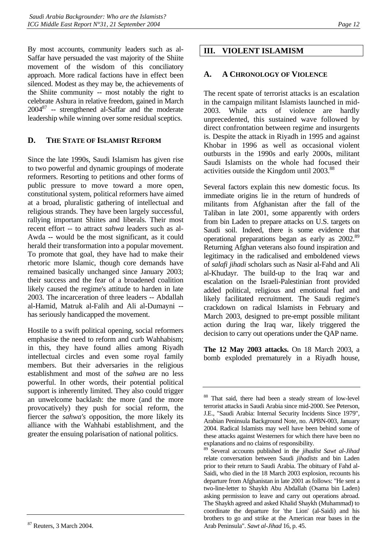<span id="page-15-0"></span>By most accounts, community leaders such as al-Saffar have persuaded the vast majority of the Shiite movement of the wisdom of this conciliatory approach. More radical factions have in effect been silenced. Modest as they may be, the achievements of the Shiite community -- most notably the right to celebrate Ashura in relative freedom, gained in March  $2004^{87}$  -- strengthened al-Saffar and the moderate leadership while winning over some residual sceptics.

# **D. THE STATE OF ISLAMIST REFORM**

Since the late 1990s, Saudi Islamism has given rise to two powerful and dynamic groupings of moderate reformers. Resorting to petitions and other forms of public pressure to move toward a more open, constitutional system, political reformers have aimed at a broad, pluralistic gathering of intellectual and religious strands. They have been largely successful, rallying important Shiites and liberals. Their most recent effort -- to attract *sahwa* leaders such as al-Awda *--* would be the most significant, as it could herald their transformation into a popular movement. To promote that goal, they have had to make their rhetoric more Islamic, though core demands have remained basically unchanged since January 2003; their success and the fear of a broadened coalition likely caused the regime's attitude to harden in late 2003. The incarceration of three leaders -- Abdallah al-Hamid, Matruk al-Falih and Ali al-Dumayni - has seriously handicapped the movement.

Hostile to a swift political opening, social reformers emphasise the need to reform and curb Wahhabism; in this, they have found allies among Riyadh intellectual circles and even some royal family members. But their adversaries in the religious establishment and most of the *sahwa* are no less powerful. In other words, their potential political support is inherently limited. They also could trigger an unwelcome backlash: the more (and the more provocatively) they push for social reform, the fiercer the *sahwa's* opposition, the more likely its alliance with the Wahhabi establishment, and the greater the ensuing polarisation of national politics.

# **III. VIOLENT ISLAMISM**

# **A. A CHRONOLOGY OF VIOLENCE**

The recent spate of terrorist attacks is an escalation in the campaign militant Islamists launched in mid-2003. While acts of violence are hardly unprecedented, this sustained wave followed by direct confrontation between regime and insurgents is. Despite the attack in Riyadh in 1995 and against Khobar in 1996 as well as occasional violent outbursts in the 1990s and early 2000s, militant Saudi Islamists on the whole had focused their activities outside the Kingdom until 2003.<sup>[88](#page-15-2)</sup>

Several factors explain this new domestic focus. Its immediate origins lie in the return of hundreds of militants from Afghanistan after the fall of the Taliban in late 2001, some apparently with orders from bin Laden to prepare attacks on U.S. targets on Saudi soil. Indeed, there is some evidence that operational preparations began as early as 2002.<sup>89</sup> Returning Afghan veterans also found inspiration and legitimacy in the radicalised and emboldened views of *salafi jihadi* scholars such as Nasir al-Fahd and Ali al-Khudayr. The build-up to the Iraq war and escalation on the Israeli-Palestinian front provided added political, religious and emotional fuel and likely facilitated recruitment. The Saudi regime's crackdown on radical Islamists in February and March 2003, designed to pre-empt possible militant action during the Iraq war, likely triggered the decision to carry out operations under the QAP name.

**The 12 May 2003 attacks.** On 18 March 2003, a bomb exploded prematurely in a Riyadh house,

<span id="page-15-2"></span><sup>88</sup> That said, there had been a steady stream of low-level terrorist attacks in Saudi Arabia since mid-2000. See Peterson, J.E., "Saudi Arabia: Internal Security Incidents Since 1979", Arabian Peninsula Background Note, no. APBN-003, January 2004. Radical Islamists may well have been behind some of these attacks against Westerners for which there have been no explanations and no claims of responsibility.

<span id="page-15-3"></span><sup>89</sup> Several accounts published in the *jihadist Sawt al-Jihad* relate conversation between Saudi *jihadists* and bin Laden prior to their return to Saudi Arabia. The obituary of Fahd al-Saidi, who died in the 18 March 2003 explosion, recounts his departure from Afghanistan in late 2001 as follows: "He sent a two-line-letter to Shaykh Abu Abdallah (Osama bin Laden) asking permission to leave and carry out operations abroad. The Shaykh agreed and asked Khalid Shaykh (Muhammad) to coordinate the departure for 'the Lion' (al-Saidi) and his brothers to go and strike at the American rear bases in the Arab Peninsula". *Sawt al-Jihad* 16, p. 45.

<span id="page-15-1"></span><sup>87</sup> Reuters, 3 March 2004.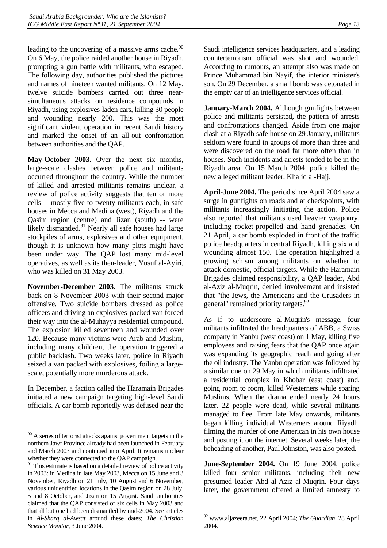leading to the uncovering of a massive arms cache.<sup>90</sup> On 6 May, the police raided another house in Riyadh, prompting a gun battle with militants, who escaped. The following day, authorities published the pictures and names of nineteen wanted militants. On 12 May, twelve suicide bombers carried out three nearsimultaneous attacks on residence compounds in Riyadh, using explosives-laden cars, killing 30 people and wounding nearly 200. This was the most significant violent operation in recent Saudi history and marked the onset of an all-out confrontation between authorities and the QAP.

**May-October 2003.** Over the next six months, large-scale clashes between police and militants occurred throughout the country. While the number of killed and arrested militants remains unclear, a review of police activity suggests that ten or more cells -- mostly five to twenty militants each, in safe houses in Mecca and Medina (west), Riyadh and the Qasim region (centre) and Jizan (south) -- were likely dismantled. $91$  Nearly all safe houses had large stockpiles of arms, explosives and other equipment, though it is unknown how many plots might have been under way. The QAP lost many mid-level operatives, as well as its then-leader, Yusuf al-Ayiri, who was killed on 31 May 2003.

**November-December 2003.** The militants struck back on 8 November 2003 with their second major offensive. Two suicide bombers dressed as police officers and driving an explosives-packed van forced their way into the al-Muhayya residential compound. The explosion killed seventeen and wounded over 120. Because many victims were Arab and Muslim, including many children, the operation triggered a public backlash. Two weeks later, police in Riyadh seized a van packed with explosives, foiling a largescale, potentially more murderous attack.

In December, a faction called the Haramain Brigades initiated a new campaign targeting high-level Saudi officials. A car bomb reportedly was defused near the Saudi intelligence services headquarters, and a leading counterterrorism official was shot and wounded. According to rumours, an attempt also was made on Prince Muhammad bin Nayif, the interior minister's son. On 29 December, a small bomb was detonated in the empty car of an intelligence services official.

**January-March 2004.** Although gunfights between police and militants persisted, the pattern of arrests and confrontations changed. Aside from one major clash at a Riyadh safe house on 29 January, militants seldom were found in groups of more than three and were discovered on the road far more often than in houses. Such incidents and arrests tended to be in the Riyadh area. On 15 March 2004, police killed the new alleged militant leader, Khalid al-Hajj.

**April-June 2004.** The period since April 2004 saw a surge in gunfights on roads and at checkpoints, with militants increasingly initiating the action. Police also reported that militants used heavier weaponry, including rocket-propelled and hand grenades. On 21 April, a car bomb exploded in front of the traffic police headquarters in central Riyadh, killing six and wounding almost 150. The operation highlighted a growing schism among militants on whether to attack domestic, official targets. While the Haramain Brigades claimed responsibility, a QAP leader, Abd al-Aziz al-Muqrin, denied involvement and insisted that "the Jews, the Americans and the Crusaders in general" remained priority targets.<sup>[92](#page-16-2)</sup>

As if to underscore al-Muqrin's message, four militants infiltrated the headquarters of ABB, a Swiss company in Yanbu (west coast) on 1 May, killing five employees and raising fears that the QAP once again was expanding its geographic reach and going after the oil industry. The Yanbu operation was followed by a similar one on 29 May in which militants infiltrated a residential complex in Khobar (east coast) and, going room to room, killed Westerners while sparing Muslims. When the drama ended nearly 24 hours later, 22 people were dead, while several militants managed to flee. From late May onwards, militants began killing individual Westerners around Riyadh, filming the murder of one American in his own house and posting it on the internet. Several weeks later, the beheading of another, Paul Johnston, was also posted.

**June-September 2004.** On 19 June 2004, police killed four senior militants, including their new presumed leader Abd al-Aziz al-Muqrin. Four days later, the government offered a limited amnesty to

<span id="page-16-0"></span><sup>&</sup>lt;sup>90</sup> A series of terrorist attacks against government targets in the northern Jawf Province already had been launched in February and March 2003 and continued into April. It remains unclear whether they were connected to the QAP campaign.

<span id="page-16-1"></span><sup>&</sup>lt;sup>91</sup> This estimate is based on a detailed review of police activity in 2003: in Medina in late May 2003, Mecca on 15 June and 3 November, Riyadh on 21 July, 10 August and 6 November, various unidentified locations in the Qasim region on 28 July, 5 and 8 October, and Jizan on 15 August. Saudi authorities claimed that the QAP consisted of six cells in May 2003 and that all but one had been dismantled by mid-2004. See articles in *Al-Sharq al-Awsat* around these dates; *The Christian Science Monitor*, 3 June 2004.

<span id="page-16-2"></span><sup>92</sup> www.aljazeera.net, 22 April 2004; *The Guardian*, 28 April 2004.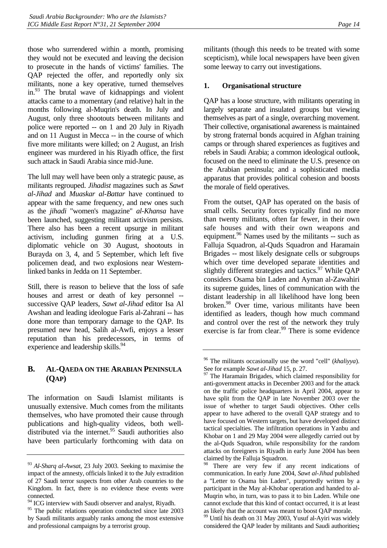<span id="page-17-0"></span>those who surrendered within a month, promising they would not be executed and leaving the decision to prosecute in the hands of victims' families. The QAP rejected the offer, and reportedly only six militants, none a key operative, turned themselves in[.93](#page-17-1) The brutal wave of kidnappings and violent attacks came to a momentary (and relative) halt in the months following al-Muqrin's death. In July and August, only three shootouts between militants and police were reported -- on 1 and 20 July in Riyadh and on 11 August in Mecca -- in the course of which five more militants were killed; on 2 August, an Irish engineer was murdered in his Riyadh office, the first such attack in Saudi Arabia since mid-June.

The lull may well have been only a strategic pause, as militants regrouped. *Jihadist* magazines such as *Sawt al-Jihad* and *Muaskar al-Battar* have continued to appear with the same frequency, and new ones such as the *jihadi* "women's magazine" *al-Khansa* have been launched, suggesting militant activism persists. There also has been a recent upsurge in militant activism, including gunmen firing at a U.S. diplomatic vehicle on 30 August, shootouts in Burayda on 3, 4, and 5 September, which left five policemen dead, and two explosions near Westernlinked banks in Jedda on 11 September.

Still, there is reason to believe that the loss of safe houses and arrest or death of key personnel - successive QAP leaders, *Sawt al-Jihad* editor Isa Al Awshan and leading ideologue Faris al-Zahrani -- has done more than temporary damage to the QAP. Its presumed new head, Salih al-Awfi, enjoys a lesser reputation than his predecessors, in terms of experience and leadership skills.<sup>94</sup>

# **B. AL-QAEDA ON THE ARABIAN PENINSULA (QAP)**

The information on Saudi Islamist militants is unusually extensive. Much comes from the militants themselves, who have promoted their cause through publications and high-quality videos, both welldistributed via the internet. $95$  Saudi authorities also have been particularly forthcoming with data on militants (though this needs to be treated with some scepticism), while local newspapers have been given some leeway to carry out investigations.

# **1. Organisational structure**

QAP has a loose structure, with militants operating in largely separate and insulated groups but viewing themselves as part of a single, overarching movement. Their collective, organisational awareness is maintained by strong fraternal bonds acquired in Afghan training camps or through shared experiences as fugitives and rebels in Saudi Arabia; a common ideological outlook, focused on the need to eliminate the U.S. presence on the Arabian peninsula; and a sophisticated media apparatus that provides political cohesion and boosts the morale of field operatives.

From the outset, QAP has operated on the basis of small cells. Security forces typically find no more than twenty militants, often far fewer, in their own safe houses and with their own weapons and equipment.<sup>96</sup> Names used by the militants -- such as Falluja Squadron, al-Quds Squadron and Haramain Brigades -- most likely designate cells or subgroups which over time developed separate identities and slightly different strategies and tactics. $97$  While QAP considers Osama bin Laden and Ayman al-Zawahiri its supreme guides, lines of communication with the distant leadership in all likelihood have long been broken[.98](#page-17-6) Over time, various militants have been identified as leaders, though how much command and control over the rest of the network they truly exercise is far from clear.<sup>99</sup> There is some evidence

<span id="page-17-1"></span><sup>93</sup> *Al-Sharq al-Awsat*, 23 July 2003. Seeking to maximise the impact of the amnesty, officials linked it to the July extradition of 27 Saudi terror suspects from other Arab countries to the Kingdom. In fact, there is no evidence these events were connected.

<span id="page-17-2"></span><sup>&</sup>lt;sup>94</sup> ICG interview with Saudi observer and analyst, Riyadh.

<span id="page-17-3"></span><sup>&</sup>lt;sup>95</sup> The public relations operation conducted since late 2003 by Saudi militants arguably ranks among the most extensive and professional campaigns by a terrorist group.

<span id="page-17-4"></span><sup>96</sup> The militants occasionally use the word "cell" (*khaliyya*).

<span id="page-17-5"></span>See for example *Sawt al-Jihad* 15, p. 27.<br><sup>97</sup> The Haramain Brigades, which claimed responsibility for anti-government attacks in December 2003 and for the attack on the traffic police headquarters in April 2004, appear to have split from the QAP in late November 2003 over the issue of whether to target Saudi objectives. Other cells appear to have adhered to the overall QAP strategy and to have focused on Western targets, but have developed distinct tactical specialties. The infiltration operations in Yanbu and Khobar on 1 and 29 May 2004 were allegedly carried out by the al-Quds Squadron, while responsibility for the random attacks on foreigners in Riyadh in early June 2004 has been claimed by the Falluja Squadron.

<span id="page-17-6"></span>There are very few if any recent indications of communication. In early June 2004, *Sawt al-Jihad* published a "Letter to Osama bin Laden", purportedly written by a participant in the May al-Khobar operation and handed to al-Muqrin who, in turn, was to pass it to bin Laden. While one cannot exclude that this kind of contact occurred, it is at least as likely that the account was meant to boost QAP morale.

<span id="page-17-7"></span><sup>&</sup>lt;sup>99</sup> Until his death on 31 May 2003, Yusuf al-Ayiri was widely considered the QAP leader by militants and Saudi authorities**;**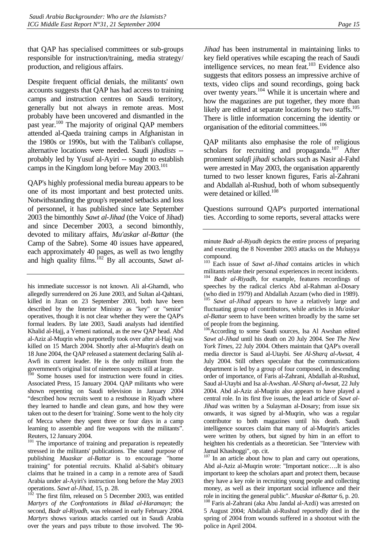that QAP has specialised committees or sub-groups responsible for instruction/training, media strategy/ production, and religious affairs.

Despite frequent official denials, the militants' own accounts suggests that QAP has had access to training camps and instruction centres on Saudi territory, generally but not always in remote areas. Most probably have been uncovered and dismantled in the past year.<sup>100</sup> The majority of original QAP members attended al-Qaeda training camps in Afghanistan in the 1980s or 1990s, but with the Taliban's collapse, alternative locations were needed. Saudi *jihadists* - probably led by Yusuf al-Ayiri -- sought to establish camps in the Kingdom long before May 2003.<sup>101</sup>

QAP's highly professional media bureau appears to be one of its most important and best protected units. Notwithstanding the group's repeated setbacks and loss of personnel, it has published since late September 2003 the bimonthly *Sawt al-Jihad* (the Voice of Jihad) and since December 2003, a second bimonthly, devoted to military affairs, *Mu'askar al-Battar* (the Camp of the Sabre). Some 40 issues have appeared, each approximately 40 pages, as well as two lengthy and high quality films.<sup>102</sup> By all accounts, *Sawt al-*

his immediate successor is not known. Ali al-Ghamdi*,* who allegedly surrendered on 26 June 2003, and Sultan al-Qahtani, killed in Jizan on 23 September 2003, both have been described by the Interior Ministry as "key" or "senior" operatives, though it is not clear whether they were the QAP's formal leaders. By late 2003, Saudi analysts had identified Khalid al-Hajj, a Yemeni national, as the new QAP head. Abd al-Aziz al-Muqrin who purportedly took over after al-Hajj was killed on 15 March 2004. Shortly after al-Muqrin's death on 18 June 2004, the QAP released a statement declaring Salih al-Awfi its current leader. He is the only militant from the government's original list of nineteen suspects still at large.

<span id="page-18-0"></span>100 Some houses used for instruction were found in cities. Associated Press, 15 January 2004. QAP militants who were shown repenting on Saudi television in January 2004 "described how recruits went to a resthouse in Riyadh where they learned to handle and clean guns, and how they were taken out to the desert for 'training'. Some went to the holy city of Mecca where they spent three or four days in a camp learning to assemble and fire weapons with the militants". Reuters, 12 January 2004.

<span id="page-18-1"></span><sup>101</sup> The importance of training and preparation is repeatedly stressed in the militants' publications. The stated purpose of publishing *Muaskar al-Battar* is to encourage "home training" for potential recruits. Khalid al-Sabit's obituary claims that he trained in a camp in a remote area of Saudi Arabia under al-Ayiri's instruction long before the May 2003

<span id="page-18-2"></span>operations. *Sawt al-Jihad*, 15, p. 28. <sup>102</sup> The first film, released on 5 December 2003, was entitled *Martyrs of the Confrontations in Bilad al-Haramayn;* the second, *Badr al-Riyadh*, was released in early February 2004. *Martyrs* shows various attacks carried out in Saudi Arabia over the years and pays tribute to those involved. The 90*Jihad* has been instrumental in maintaining links to key field operatives while escaping the reach of Saudi intelligence services, no mean feat.<sup>103</sup> Evidence also suggests that editors possess an impressive archive of texts, video clips and sound recordings, going back over twenty years[.104 W](#page-18-4)hile it is uncertain where and how the magazines are put together, they more than likely are edited at separate locations by two staffs.<sup>105</sup> There is little information concerning the identity or organisation of the editorial committees.<sup>106</sup>

QAP militants also emphasise the role of religious scholars for recruiting and propaganda. $107 \text{ After}$  $107 \text{ After}$ prominent *salafi jihadi* scholars such as Nasir al-Fahd were arrested in May 2003, the organisation apparently turned to two lesser known figures, Faris al-Zahrani and Abdallah al-Rushud, both of whom subsequently were detained or killed.<sup>108</sup>

Questions surround QAP's purported international ties. According to some reports, several attacks were

<span id="page-18-4"></span><span id="page-18-3"></span>103 Each issue of *Sawt al-Jihad* contains articles in which militants relate their personal experiences in recent incidents. 104 *Badr al-Riyadh,* for example, features recordings of speeches by the radical clerics Abd al-Rahman al-Dosary (who died in 1979) and Abdallah Azzam (who died in 1989). <sup>105</sup> *Sawt al-Jihad* appears to have a relatively large and fluctuating group of contributors, while articles in *Mu'askar al-Battar* seem to have been written broadly by the same set of people from the beginning.

<span id="page-18-6"></span><span id="page-18-5"></span><sup>106</sup>According to some Saudi sources, Isa Al Awshan edited *Sawt al-Jihad* until his death on 20 July 2004. See *The New York Times,* 22 July 2004. Others maintain that QAP's overall media director is Saud al-Utaybi. See *Al-Sharq al-Awsat*, 4 July 2004. Still others speculate that the communications department is led by a group of four composed, in descending order of importance, of Faris al-Zahrani, Abdallah al-Rushud, Saud al-Utaybi and Isa al-Awshan. *Al-Sharq al-Awsat*, 22 July 2004. Abd al-Aziz al-Muqrin also appears to have played a central role. In its first five issues, the lead article of *Sawt al-Jihad* was written by a Sulayman al-Dosary; from issue six onwards, it was signed by al-Muqrin, who was a regular contributor to both magazines until his death. Saudi intelligence sources claim that many of al-Muqrin's articles were written by others, but signed by him in an effort to heighten his credentials as a theoretician. See "Interview with Jamal Khashoggi", op. cit.

<span id="page-18-8"></span><span id="page-18-7"></span><sup>107</sup> In an article about how to plan and carry out operations, Abd al-Aziz al-Muqrin wrote: "Important notice:….It is also important to keep the scholars apart and protect them, because they have a key role in recruiting young people and collecting money, as well as their important social influence and their role in inciting the general public". *Muaskar al-Battar* 6, p. 20. 108 Faris al-Zahrani (aka Abu Jandal al-Azdi) was arrested on 5 August 2004; Abdallah al-Rushud reportedly died in the spring of 2004 from wounds suffered in a shootout with the police in April 2004.

minute *Badr al-Riyadh* depicts the entire process of preparing and executing the 8 November 2003 attacks on the Muhayya compound.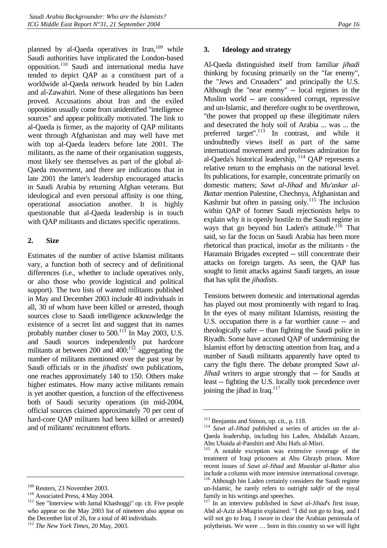<span id="page-19-0"></span>planned by al-Qaeda operatives in Iran, $109$  while Saudi authorities have implicated the London-based opposition.[110](#page-19-2) Saudi and international media have tended to depict QAP as a constituent part of a worldwide al-Qaeda network headed by bin Laden and al-Zawahiri. None of these allegations has been proved. Accusations about Iran and the exiled opposition usually come from unidentified "intelligence sources" and appear politically motivated. The link to al-Qaeda is firmer, as the majority of QAP militants went through Afghanistan and may well have met with top al-Qaeda leaders before late 2001. The militants, as the name of their organisation suggests, most likely see themselves as part of the global al-Qaeda movement, and there are indications that in late 2001 the latter's leadership encouraged attacks in Saudi Arabia by returning Afghan veterans. But ideological and even personal affinity is one thing, operational association another. It is highly questionable that al-Qaeda leadership is in touch with QAP militants and dictates specific operations.

#### **2. Size**

Estimates of the number of active Islamist militants vary, a function both of secrecy and of definitional differences (i.e., whether to include operatives only, or also those who provide logistical and political support). The two lists of wanted militants published in May and December 2003 include 40 individuals in all, 30 of whom have been killed or arrested, though sources close to Saudi intelligence acknowledge the existence of a secret list and suggest that its names probably number closer to 500.<sup>111</sup> In May 2003, U.S. and Saudi sources independently put hardcore militants at between 200 and  $400$ ;<sup>112</sup> aggregating the number of militants mentioned over the past year by Saudi officials or in the *jihadists*' own publications, one reaches approximately 140 to 150. Others make higher estimates. How many active militants remain is yet another question, a function of the effectiveness both of Saudi security operations (in mid-2004, official sources claimed approximately 70 per cent of hard-core QAP militants had been killed or arrested) and of militants' recruitment efforts.

# **3. Ideology and strategy**

Al-Qaeda distinguished itself from familiar *jihadi*  thinking by focusing primarily on the "far enemy", the "Jews and Crusaders" and principally the U.S. Although the "near enemy" -- local regimes in the Muslim world -- are considered corrupt, repressive and un-Islamic, and therefore ought to be overthrown, "the power that propped up these illegitimate rulers and desecrated the holy soil of Arabia ... was ... the preferred target".<sup>113</sup> In contrast, and while it undoubtedly views itself as part of the same international movement and professes admiration for al-Qaeda's historical leadership,  $^{114}$  QAP represents a relative return to the emphasis on the national level. Its publications, for example, concentrate primarily on domestic matters; *Sawt al-Jihad* and *Mu'askar al-Battar* mention Palestine, Chechnya, Afghanistan and Kashmir but often in passing only.<sup>115</sup> The inclusion within QAP of former Saudi rejectionists helps to explain why it is openly hostile to the Saudi regime in ways that go beyond bin Laden's attitude.<sup>116</sup> That said, so far the focus on Saudi Arabia has been more rhetorical than practical, insofar as the militants - the Haramain Brigades excepted -- still concentrate their attacks on foreign targets. As seen, the QAP has sought to limit attacks against Saudi targets, an issue that has split the *jihadists*.

Tensions between domestic and international agendas has played out most prominently with regard to Iraq. In the eyes of many militant Islamists, resisting the U.S. occupation there is a far worthier cause -- and theologically safer -- than fighting the Saudi police in Riyadh. Some have accused QAP of undermining the Islamist effort by detracting attention from Iraq, and a number of Saudi militants apparently have opted to carry the fight there. The debate prompted *Sawt al-Jihad* writers to argue strongly that -- for Saudis at least -- fighting the U.S. locally took precedence over joining the jihad in Iraq.<sup>117</sup>

<span id="page-19-1"></span>

<span id="page-19-3"></span><span id="page-19-2"></span>

<sup>&</sup>lt;sup>109</sup> Reuters, 23 November 2003.<br><sup>110</sup> Associated Press, 4 May 2004.<br><sup>111</sup> See "Interview with Jamal Khashoggi" op. cit. Five people who appear on the May 2003 list of nineteen also appear on the December list of 26, for a total of 40 individuals.

<span id="page-19-4"></span><sup>112</sup> *The New York Times*, 20 May, 2003.

<span id="page-19-6"></span><span id="page-19-5"></span><sup>&</sup>lt;sup>113</sup> Benjamin and Simon, op. cit., p. 118.<br><sup>114</sup> *Sawt al-Jihad* published a series of articles on the al-Qaeda leadership, including bin Laden, Abdallah Azzam, Abu Ubaida al-Panshiri and Abu Hafs al-Misri.

<span id="page-19-7"></span><sup>115</sup> A notable exception was extensive coverage of the treatment of Iraqi prisoners at Abu Ghrayb prison. More recent issues of *Sawt al-Jihad* and *Muaskar al-Battar* also include a column with more intensive international coverage. Although bin Laden certainly considers the Saudi regime

<span id="page-19-8"></span>un-Islamic, he rarely refers to outright *takfir* of the royal family in his writings and speeches.

<span id="page-19-9"></span><sup>117</sup> In an interview published in *Sawt al-Jihad*'s first issue, Abd al-Aziz al-Muqrin explained: "I did not go to Iraq, and I will not go to Iraq. I swore to clear the Arabian peninsula of polytheists. We were … born in this country so we will fight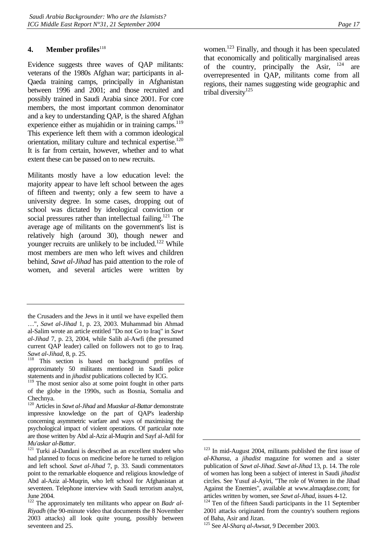#### <span id="page-20-0"></span>**4. Member profiles**<sup>[118](#page-20-1)</sup>

Evidence suggests three waves of QAP militants: veterans of the 1980s Afghan war; participants in al-Qaeda training camps, principally in Afghanistan between 1996 and 2001; and those recruited and possibly trained in Saudi Arabia since 2001. For core members, the most important common denominator and a key to understanding QAP, is the shared Afghan experience either as mujahidin or in training camps.<sup>119</sup> This experience left them with a common ideological orientation, military culture and technical expertise.<sup>120</sup> It is far from certain, however, whether and to what extent these can be passed on to new recruits.

Militants mostly have a low education level: the majority appear to have left school between the ages of fifteen and twenty; only a few seem to have a university degree. In some cases, dropping out of school was dictated by ideological conviction or social pressures rather than intellectual failing.<sup>121</sup> The average age of militants on the government's list is relatively high (around 30), though newer and younger recruits are unlikely to be included.<sup>122</sup> While most members are men who left wives and children behind, *Sawt al-Jihad* has paid attention to the role of women, and several articles were written by

<span id="page-20-3"></span>120 Articles in *Sawt al-Jihad* and *Muaskar al-Battar* demonstrate impressive knowledge on the part of QAP's leadership concerning asymmetric warfare and ways of maximising the psychological impact of violent operations. Of particular note are those written by Abd al-Aziz al-Muqrin and Sayf al-Adil for women[.123](#page-20-6) Finally, and though it has been speculated that economically and politically marginalised areas of the country, principally the Asir,  $124$  are overrepresented in QAP, militants come from all regions, their names suggesting wide geographic and tribal diversity<sup>[125](#page-20-8)</sup>

the Crusaders and the Jews in it until we have expelled them …", *Sawt al-Jihad* 1, p. 23, 2003. Muhammad bin Ahmad al-Salim wrote an article entitled "Do not Go to Iraq" in *Sawt al-Jihad* 7, p. 23, 2004, while Salih al-Awfi (the presumed current QAP leader) called on followers not to go to Iraq. *Sawt al-Jihad*, 8, p. 25.<br><sup>118</sup> This section is based on background profiles of

<span id="page-20-1"></span>approximately 50 militants mentioned in Saudi police statements and in *jihadist* publications collected by ICG.

<span id="page-20-2"></span><sup>&</sup>lt;sup>119</sup> The most senior also at some point fought in other parts of the globe in the 1990s, such as Bosnia, Somalia and Chechnya.

<span id="page-20-4"></span>*Mu'askar al-Battar*.<br><sup>121</sup> Turki al-Dandani is described as an excellent student who had planned to focus on medicine before he turned to religion and left school. *Sawt al-Jihad* 7, p. 33. Saudi commentators point to the remarkable eloquence and religious knowledge of Abd al-Aziz al-Muqrin, who left school for Afghanistan at seventeen. Telephone interview with Saudi terrorism analyst, June 2004.

<span id="page-20-5"></span><sup>&</sup>lt;sup>122</sup> The approximately ten militants who appear on *Badr al-Riyadh* (the 90-minute video that documents the 8 November 2003 attacks) all look quite young, possibly between seventeen and 25.

<span id="page-20-6"></span> $123$  In mid-August 2004, militants published the first issue of *al-Khansa*, a *jihadist* magazine for women and a sister publication of *Sawt al-Jihad*. *Sawt al-Jihad* 13, p. 14. The role of women has long been a subject of interest in Saudi *jihadist*  circles. See Yusuf al-Ayiri, "The role of Women in the Jihad Against the Enemies", available at [www.almaqdase.com;](http://www.almaqdase.com/) for articles written by women, see *Sawt al-Jihad*, issues 4-12.<br><sup>124</sup> Ten of the fifteen Saudi participants in the 11 September

<span id="page-20-7"></span><sup>2001</sup> attacks originated from the country's southern regions of Baha, Asir and Jizan.

<span id="page-20-8"></span><sup>125</sup> See *Al-Sharq al-Awsat*, 9 December 2003.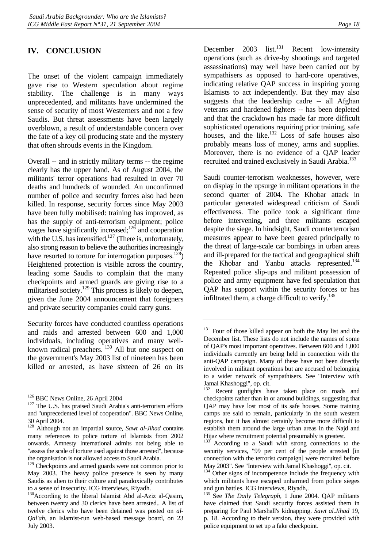<span id="page-21-0"></span>The onset of the violent campaign immediately gave rise to Western speculation about regime stability. The challenge is in many ways unprecedented, and militants have undermined the sense of security of most Westerners and not a few Saudis. But threat assessments have been largely overblown, a result of understandable concern over the fate of a key oil producing state and the mystery that often shrouds events in the Kingdom.

Overall -- and in strictly military terms -- the regime clearly has the upper hand. As of August 2004, the militants' terror operations had resulted in over 70 deaths and hundreds of wounded. An unconfirmed number of police and security forces also had been killed. In response, security forces since May 2003 have been fully mobilised: training has improved, as has the supply of anti-terrorism equipment; police wages have significantly increased;<sup>126</sup> and cooperation with the U.S. has intensified.<sup>127</sup> (There is, unfortunately, also strong reason to believe the authorities increasingly have resorted to torture for interrogation purposes.<sup>128</sup>) Heightened protection is visible across the country, leading some Saudis to complain that the many checkpoints and armed guards are giving rise to a militarised society.<sup>129</sup> This process is likely to deepen, given the June 2004 announcement that foreigners and private security companies could carry guns.

Security forces have conducted countless operations and raids and arrested between 600 and 1,000 individuals, including operatives and many wellknown radical preachers.<sup>130</sup> All but one suspect on the government's May 2003 list of nineteen has been killed or arrested, as have sixteen of 26 on its

December  $2003$  list.<sup>131</sup> Recent low-intensity operations (such as drive-by shootings and targeted assassinations) may well have been carried out by sympathisers as opposed to hard-core operatives, indicating relative QAP success in inspiring young Islamists to act independently. But they may also suggests that the leadership cadre -- all Afghan veterans and hardened fighters -- has been depleted and that the crackdown has made far more difficult sophisticated operations requiring prior training, safe houses, and the like. $^{132}$  Loss of safe houses also probably means loss of money, arms and supplies. Moreover, there is no evidence of a QAP leader recruited and trained exclusively in Saudi Arabia.<sup>133</sup>

Saudi counter-terrorism weaknesses, however, were on display in the upsurge in militant operations in the second quarter of 2004. The Khobar attack in particular generated widespread criticism of Saudi effectiveness. The police took a significant time before intervening, and three militants escaped despite the siege. In hindsight, Saudi counterterrorism measures appear to have been geared principally to the threat of large-scale car bombings in urban areas and ill-prepared for the tactical and geographical shift the Khobar and Yanbu attacks represented.<sup>134</sup> Repeated police slip-ups and militant possession of police and army equipment have fed speculation that QAP has support within the security forces or has infiltrated them, a charge difficult to verify. $135$ 

<span id="page-21-2"></span><span id="page-21-1"></span>

<sup>&</sup>lt;sup>126</sup> BBC News Online, 26 April 2004<br><sup>127</sup> The U.S. has praised Saudi Arabia's anti-terrorism efforts and "unprecedented level of cooperation". BBC News Online, 30 April 2004.

<span id="page-21-3"></span><sup>128</sup> Although not an impartial source, *Sawt al-Jihad* contains many references to police torture of Islamists from 2002 onwards. Amnesty International admits not being able to "assess the scale of torture used against those arrested", because the organisation is not allowed access to Saudi Arabia.

<span id="page-21-4"></span><sup>&</sup>lt;sup>129</sup> Checkpoints and armed guards were not common prior to May 2003. The heavy police presence is seen by many Saudis as alien to their culture and paradoxically contributes to a sense of insecurity. ICG interviews, Riyadh.

<span id="page-21-5"></span><sup>&</sup>lt;sup>130</sup>According to the liberal Islamist Abd al-Aziz al-Qasim, between twenty and 30 clerics have been arrested.. A list of twelve clerics who have been detained was posted on *al-Qal'ah*, an Islamist-run web-based message board, on 23 July 2003.

<span id="page-21-6"></span><sup>&</sup>lt;sup>131</sup> Four of those killed appear on both the May list and the December list. These lists do not include the names of some of QAP's most important operatives. Between 600 and 1,000 individuals currently are being held in connection with the anti-QAP campaign. Many of these have not been directly involved in militant operations but are accused of belonging to a wider network of sympathisers. See "Interview with Jamal Khashoggi", op. cit.

<span id="page-21-7"></span>Recent gunfights have taken place on roads and checkpoints rather than in or around buildings, suggesting that QAP may have lost most of its safe houses. Some training camps are said to remain, particularly in the south western regions, but it has almost certainly become more difficult to establish them around the large urban areas in the Najd and Hijaz where recruitment potential presumably is greatest.

<span id="page-21-8"></span>According to a Saudi with strong connections to the security services, "99 per cent of the people arrested [in connection with the terrorist campaign] were recruited before May 2003". See "Interview with Jamal Khashoggi", op. cit.

<span id="page-21-9"></span><sup>&</sup>lt;sup>134</sup> Other signs of incompetence include the frequency with which militants have escaped unharmed from police sieges and gun battles. ICG interviews, Riyadh,.

<span id="page-21-10"></span><sup>135</sup> See *The Daily Telegraph,* 1 June 2004. QAP militants have claimed that Saudi security forces assisted them in preparing for Paul Marshall's kidnapping. *Sawt al.Jihad* 19, p. 18. According to their version, they were provided with police equipment to set up a fake checkpoint.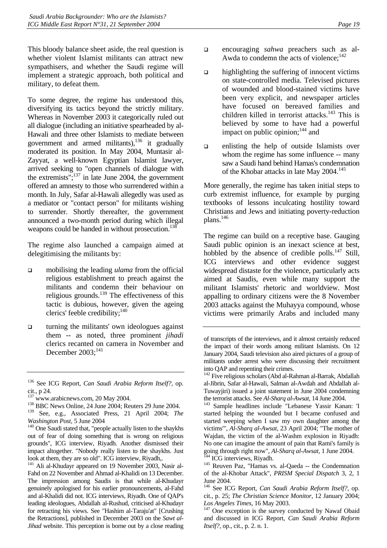This bloody balance sheet aside, the real question is whether violent Islamist militants can attract new sympathisers, and whether the Saudi regime will implement a strategic approach, both political and military, to defeat them.

To some degree, the regime has understood this, diversifying its tactics beyond the strictly military. Whereas in November 2003 it categorically ruled out all dialogue (including an initiative spearheaded by al-Hawali and three other Islamists to mediate between government and armed militants), $136$  it gradually moderated its position. In May 2004, Muntasir al-Zayyat, a well-known Egyptian Islamist lawyer, arrived seeking to "open channels of dialogue with the extremists"; $137$  in late June 2004, the government offered an amnesty to those who surrendered within a month. In July, Safar al-Hawali allegedly was used as a mediator or "contact person" for militants wishing to surrender. Shortly thereafter, the government announced a two-month period during which illegal weapons could be handed in without prosecution.<sup>138</sup>

The regime also launched a campaign aimed at delegitimising the militants by:

- mobilising the leading *ulama* from the official religious establishment to preach against the militants and condemn their behaviour on religious grounds. $^{139}$  The effectiveness of this tactic is dubious, however, given the ageing clerics' feeble credibility; $140$
- $\Box$  turning the militants' own ideologues against them -- as noted, three prominent *jihadi*  clerics recanted on camera in November and December  $2003$ ;<sup>141</sup>

<span id="page-22-4"></span>out of fear of doing something that is wrong on religious grounds", ICG interview, Riyadh. Another dismissed their impact altogether. "Nobody really listen to the shaykhs. Just look at them, they are so old". ICG interview, Riyadh,.

<span id="page-22-5"></span><sup>141</sup> Ali al-Khudayr appeared on 19 November 2003, Nasir al-Fahd on 22 November and Ahmad al-Khalidi on 13 December. The impression among Saudis is that while al-Khudayr genuinely apologised for his earlier pronouncements, al-Fahd and al-Khalidi did not. ICG interviews, Riyadh. One of QAP's leading ideologues, Abdallah al-Rushud, criticised al-Khudayr for retracting his views. See "Hashim al-Taraju'at" [Crushing the Retractions], published in December 2003 on the *Sawt al-Jihad* website. This perception is borne out by a close reading

- encouraging *sahwa* preachers such as al-Awda to condemn the acts of violence; $^{142}$
- highlighting the suffering of innocent victims on state-controlled media. Televised pictures of wounded and blood-stained victims have been very explicit, and newspaper articles have focused on bereaved families and children killed in terrorist attacks.<sup>143</sup> This is believed by some to have had a powerful impact on public opinion; $^{144}$  and
- enlisting the help of outside Islamists over whom the regime has some influence -- many saw a Saudi hand behind Hamas's condemnation of the Khobar attacks in late May 2004.<sup>145</sup>

More generally, the regime has taken initial steps to curb extremist influence, for example by purging textbooks of lessons inculcating hostility toward Christians and Jews and initiating poverty-reduction plans.[146](#page-22-10)

The regime can build on a receptive base. Gauging Saudi public opinion is an inexact science at best, hobbled by the absence of credible polls. $147$  Still, ICG interviews and other evidence suggest widespread distaste for the violence, particularly acts aimed at Saudis, even while many support the militant Islamists' rhetoric and worldview. Most appalling to ordinary citizens were the 8 November 2003 attacks against the Muhayya compound, whose victims were primarily Arabs and included many

<span id="page-22-11"></span>Los Angeles Times, 16 May 2003.<br><sup>147</sup> One exception is the survey conducted by Nawaf Obaid and discussed in ICG Report, *Can Saudi Arabia Reform Itself?,* op., cit., p. 2. n. 1*.*

<span id="page-22-0"></span><sup>136</sup> See ICG Report, *Can Saudi Arabia Reform Itself?,* op. cit., p 24.  $\frac{137}{137}$  www.arabicnews.com, 20 May 2004.<br> $\frac{138}{138}$  BBC News Online, 24 June 2004; Reuters 29 June 2004.

<span id="page-22-1"></span>

<span id="page-22-2"></span>

<span id="page-22-3"></span><sup>139</sup> See, e.g., Associated Press, 21 April 2004; *The Washington Post, 5 June 2004* <sup>140</sup> One Saudi stated that, "people actually listen to the shaykhs

of transcripts of the interviews, and it almost certainly reduced the impact of their words among militant Islamists. On 12 January 2004, Saudi television also aired pictures of a group of militants under arrest who were discussing their recruitment into QAP and repenting their crimes.

<span id="page-22-6"></span><sup>&</sup>lt;sup>142</sup> Five religious scholars (Abd al-Rahman al-Barrak, Abdallah al-Jibrin, Safar al-Hawali, Salman al-Awdah and Abdallah al-Tuwayjiri) issued a joint statement in June 2004 condemning the terrorist attacks. See Al-Sharq al-Awsat, 14 June 2004.

<span id="page-22-7"></span><sup>&</sup>lt;sup>143</sup> Sample headlines include "Lebanese Yassir Kanan: 'I started helping the wounded but I became confused and started weeping when I saw my own daughter among the victims'", *Al-Sharq al-Awsat*, 23 April 2004; "The mother of Wajdan, the victim of the al-Washm explosion in Riyadh: No one can imagine the amount of pain that Rami's family is going through right now", *Al-Sharq al-Awsat*, 1 June 2004.<br><sup>144</sup> ICG interviews, Riyadh.<br><sup>145</sup> Reuven Paz, "Hamas vs. al-Qaeda -- the Condemnation

<span id="page-22-9"></span><span id="page-22-8"></span>of the al-Khobar Attack", *PRISM Special Dispatch* 3, 2, 1 June 2004.

<span id="page-22-10"></span><sup>146</sup> See ICG Report, *Can Saudi Arabia Reform Itself?,* op. cit., p. 25; *The Christian Science Monitor*, 12 January 2004;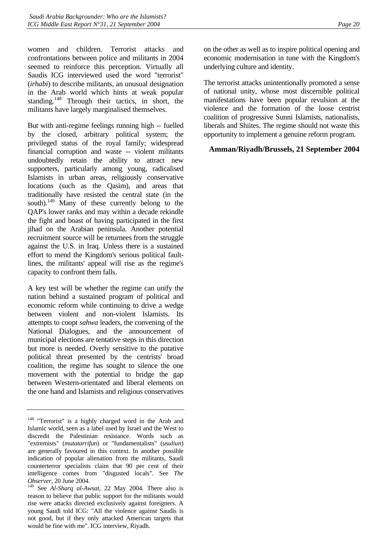women and children. Terrorist attacks and confrontations between police and militants in 2004 seemed to reinforce this perception. Virtually all Saudis ICG interviewed used the word "terrorist" (*irhabi*) to describe militants, an unusual designation in the Arab world which hints at weak popular standing.<sup>148</sup> Through their tactics, in short, the militants have largely marginalised themselves.

But with anti-regime feelings running high -- fuelled by the closed, arbitrary political system; the privileged status of the royal family; widespread financial corruption and waste -- violent militants undoubtedly retain the ability to attract new supporters, particularly among young, radicalised Islamists in urban areas, religiously conservative locations (such as the Qasim), and areas that traditionally have resisted the central state (in the south).<sup>149</sup> Many of these currently belong to the QAP's lower ranks and may within a decade rekindle the fight and boast of having participated in the first jihad on the Arabian peninsula. Another potential recruitment source will be returnees from the struggle against the U.S. in Iraq. Unless there is a sustained effort to mend the Kingdom's serious political faultlines, the militants' appeal will rise as the regime's capacity to confront them falls.

A key test will be whether the regime can unify the nation behind a sustained program of political and economic reform while continuing to drive a wedge between violent and non-violent Islamists. Its attempts to coopt *sahwa* leaders, the convening of the National Dialogues, and the announcement of municipal elections are tentative steps in this direction but more is needed. Overly sensitive to the putative political threat presented by the centrists' broad coalition, the regime has sought to silence the one movement with the potential to bridge the gap between Western-orientated and liberal elements on the one hand and Islamists and religious conservatives

on the other as well as to inspire political opening and economic modernisation in tune with the Kingdom's underlying culture and identity.

The terrorist attacks unintentionally promoted a sense of national unity, whose most discernible political manifestations have been popular revulsion at the violence and the formation of the loose centrist coalition of progressive Sunni Islamists, nationalists, liberals and Shiites. The regime should not waste this opportunity to implement a genuine reform program.

# **Amman/Riyadh/Brussels, 21 September 2004**

<span id="page-23-0"></span><sup>&</sup>lt;sup>148</sup> "Terrorist" is a highly charged word in the Arab and Islamic world, seen as a label used by Israel and the West to discredit the Palestinian resistance. Words such as "extremists" (*mutatarrifun*) or "fundamentalists" (*usuliun*) are generally favoured in this context. In another possible indication of popular alienation from the militants, Saudi counterterror specialists claim that 90 per cent of their intelligence comes from "disgusted locals". See *The Observer*, 20 June 2004.

<span id="page-23-1"></span><sup>149</sup> See *Al-Sharq al-Awsat*, 22 May 2004. There also is reason to believe that public support for the militants would rise were attacks directed exclusively against foreigners. A young Saudi told ICG: "All the violence against Saudis is not good, but if they only attacked American targets that would be fine with me". ICG interview, Riyadh.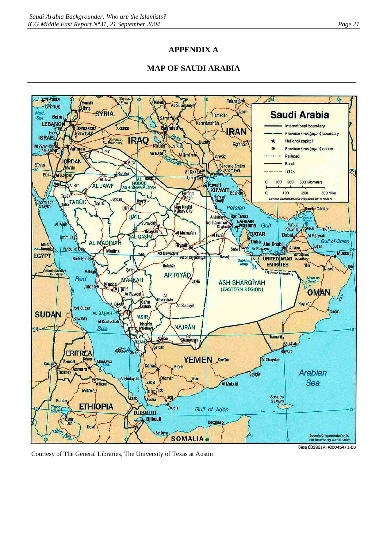# **APPENDIX A**

# **MAP OF SAUDI ARABIA**



Courtesy of The General Libraries, The University of Texas at Austin

Base 802921AI (C00454) 1-03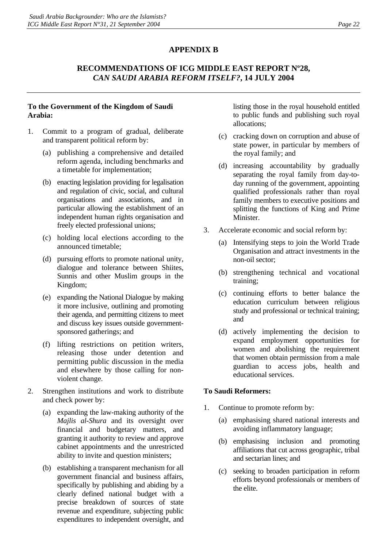# **APPENDIX B**

# **RECOMMENDATIONS OF ICG MIDDLE EAST REPORT Nº28,**  *CAN SAUDI ARABIA REFORM ITSELF?***, 14 JULY 2004**

#### **To the Government of the Kingdom of Saudi Arabia:**

- 1. Commit to a program of gradual, deliberate and transparent political reform by:
	- (a) publishing a comprehensive and detailed reform agenda, including benchmarks and a timetable for implementation;
	- (b) enacting legislation providing for legalisation and regulation of civic, social, and cultural organisations and associations, and in particular allowing the establishment of an independent human rights organisation and freely elected professional unions;
	- (c) holding local elections according to the announced timetable;
	- (d) pursuing efforts to promote national unity, dialogue and tolerance between Shiites, Sunnis and other Muslim groups in the Kingdom;
	- (e) expanding the National Dialogue by making it more inclusive, outlining and promoting their agenda, and permitting citizens to meet and discuss key issues outside governmentsponsored gatherings; and
	- (f) lifting restrictions on petition writers, releasing those under detention and permitting public discussion in the media and elsewhere by those calling for nonviolent change.
- 2. Strengthen institutions and work to distribute and check power by:
	- (a) expanding the law-making authority of the *Majlis al-Shura* and its oversight over financial and budgetary matters, and granting it authority to review and approve cabinet appointments and the unrestricted ability to invite and question ministers;
	- (b) establishing a transparent mechanism for all government financial and business affairs, specifically by publishing and abiding by a clearly defined national budget with a precise breakdown of sources of state revenue and expenditure, subjecting public expenditures to independent oversight, and

listing those in the royal household entitled to public funds and publishing such royal allocations;

- (c) cracking down on corruption and abuse of state power, in particular by members of the royal family; and
- (d) increasing accountability by gradually separating the royal family from day-today running of the government, appointing qualified professionals rather than royal family members to executive positions and splitting the functions of King and Prime Minister.
- 3. Accelerate economic and social reform by:
	- (a) Intensifying steps to join the World Trade Organisation and attract investments in the non-oil sector;
	- (b) strengthening technical and vocational training;
	- (c) continuing efforts to better balance the education curriculum between religious study and professional or technical training; and
	- (d) actively implementing the decision to expand employment opportunities for women and abolishing the requirement that women obtain permission from a male guardian to access jobs, health and educational services.

#### **To Saudi Reformers:**

- 1. Continue to promote reform by:
	- (a) emphasising shared national interests and avoiding inflammatory language;
	- (b) emphasising inclusion and promoting affiliations that cut across geographic, tribal and sectarian lines; and
	- (c) seeking to broaden participation in reform efforts beyond professionals or members of the elite.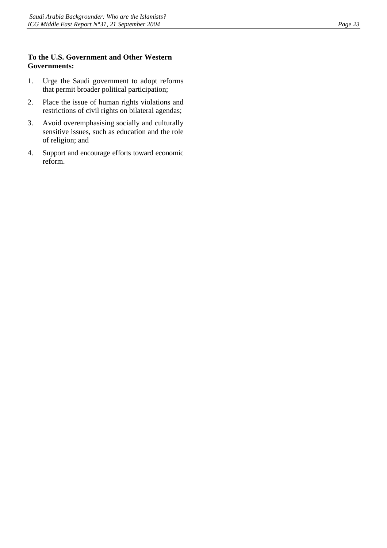#### **To the U.S. Government and Other Western Governments:**

- 1. Urge the Saudi government to adopt reforms that permit broader political participation;
- 2. Place the issue of human rights violations and restrictions of civil rights on bilateral agendas;
- 3. Avoid overemphasising socially and culturally sensitive issues, such as education and the role of religion; and
- 4. Support and encourage efforts toward economic reform.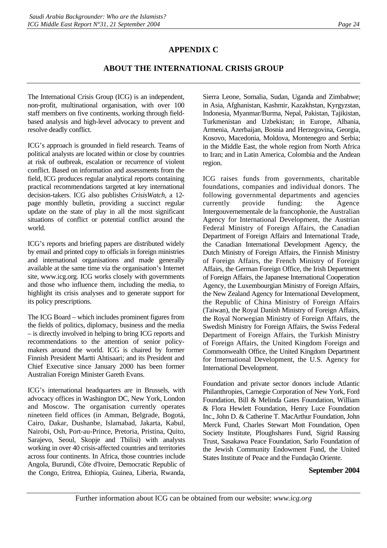# **APPENDIX C**

# **ABOUT THE INTERNATIONAL CRISIS GROUP**

The International Crisis Group (ICG) is an independent, non-profit, multinational organisation, with over 100 staff members on five continents, working through fieldbased analysis and high-level advocacy to prevent and resolve deadly conflict.

ICG's approach is grounded in field research. Teams of political analysts are located within or close by countries at risk of outbreak, escalation or recurrence of violent conflict. Based on information and assessments from the field, ICG produces regular analytical reports containing practical recommendations targeted at key international decision-takers. ICG also publishes *CrisisWatch*, a 12 page monthly bulletin, providing a succinct regular update on the state of play in all the most significant situations of conflict or potential conflict around the world.

ICG's reports and briefing papers are distributed widely by email and printed copy to officials in foreign ministries and international organisations and made generally available at the same time via the organisation's Internet site, www.icg.org. ICG works closely with governments and those who influence them, including the media, to highlight its crisis analyses and to generate support for its policy prescriptions.

The ICG Board – which includes prominent figures from the fields of politics, diplomacy, business and the media – is directly involved in helping to bring ICG reports and recommendations to the attention of senior policymakers around the world. ICG is chaired by former Finnish President Martti Ahtisaari; and its President and Chief Executive since January 2000 has been former Australian Foreign Minister Gareth Evans.

ICG's international headquarters are in Brussels, with advocacy offices in Washington DC, New York, London and Moscow. The organisation currently operates nineteen field offices (in Amman, Belgrade, Bogotá, Cairo, Dakar, Dushanbe, Islamabad, Jakarta, Kabul, Nairobi, Osh, Port-au-Prince, Pretoria, Pristina, Quito, Sarajevo, Seoul, Skopje and Tbilisi) with analysts working in over 40 crisis-affected countries and territories across four continents. In Africa, those countries include Angola, Burundi, Côte d'Ivoire, Democratic Republic of the Congo, Eritrea, Ethiopia, Guinea, Liberia, Rwanda,

Sierra Leone, Somalia, Sudan, Uganda and Zimbabwe; in Asia, Afghanistan, Kashmir, Kazakhstan, Kyrgyzstan, Indonesia, Myanmar/Burma, Nepal, Pakistan, Tajikistan, Turkmenistan and Uzbekistan; in Europe, Albania, Armenia, Azerbaijan, Bosnia and Herzegovina, Georgia, Kosovo, Macedonia, Moldova, Montenegro and Serbia; in the Middle East, the whole region from North Africa to Iran; and in Latin America, Colombia and the Andean region.

ICG raises funds from governments, charitable foundations, companies and individual donors. The following governmental departments and agencies currently provide funding: the Agence Intergouvernementale de la francophonie, the Australian Agency for International Development, the Austrian Federal Ministry of Foreign Affairs, the Canadian Department of Foreign Affairs and International Trade, the Canadian International Development Agency, the Dutch Ministry of Foreign Affairs, the Finnish Ministry of Foreign Affairs, the French Ministry of Foreign Affairs, the German Foreign Office, the Irish Department of Foreign Affairs, the Japanese International Cooperation Agency, the Luxembourgian Ministry of Foreign Affairs, the New Zealand Agency for International Development, the Republic of China Ministry of Foreign Affairs (Taiwan), the Royal Danish Ministry of Foreign Affairs, the Royal Norwegian Ministry of Foreign Affairs, the Swedish Ministry for Foreign Affairs, the Swiss Federal Department of Foreign Affairs, the Turkish Ministry of Foreign Affairs, the United Kingdom Foreign and Commonwealth Office, the United Kingdom Department for International Development, the U.S. Agency for International Development.

Foundation and private sector donors include Atlantic Philanthropies, Carnegie Corporation of New York, Ford Foundation, Bill & Melinda Gates Foundation, William & Flora Hewlett Foundation, Henry Luce Foundation Inc., John D. & Catherine T. MacArthur Foundation, John Merck Fund, Charles Stewart Mott Foundation, Open Society Institute, Ploughshares Fund, Sigrid Rausing Trust, Sasakawa Peace Foundation, Sarlo Foundation of the Jewish Community Endowment Fund, the United States Institute of Peace and the Fundação Oriente.

#### **September 2004**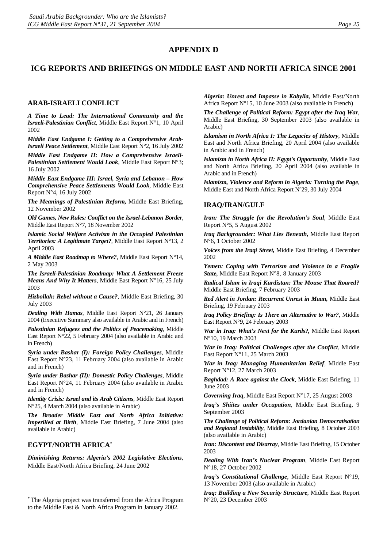#### **APPENDIX D**

#### **ICG REPORTS AND BRIEFINGS ON MIDDLE EAST AND NORTH AFRICA SINCE 2001**

#### **ARAB-ISRAELI CONFLICT**

*A Time to Lead: The International Community and the Israeli-Palestinian Conflict*, Middle East Report N°1, 10 April 2002

*Middle East Endgame I: Getting to a Comprehensive Arab-Israeli Peace Settlement*, Middle East Report N°2, 16 July 2002

*Middle East Endgame II: How a Comprehensive Israeli-Palestinian Settlement Would Look*, Middle East Report N°3; 16 July 2002

*Middle East Endgame III: Israel, Syria and Lebanon – How Comprehensive Peace Settlements Would Look*, Middle East Report N°4, 16 July 2002

*The Meanings of Palestinian Reform,* Middle East Briefing, 12 November 2002

*Old Games, New Rules: Conflict on the Israel-Lebanon Border*, Middle East Report N°7, 18 November 2002

*Islamic Social Welfare Activism in the Occupied Palestinian Territories: A Legitimate Target?*, Middle East Report N°13, 2 April 2003

*A Middle East Roadmap to Where?*, Middle East Report N°14, 2 May 2003

*The Israeli-Palestinian Roadmap: What A Settlement Freeze Means And Why It Matters*, Middle East Report N°16, 25 July 2003

*Hizbollah: Rebel without a Cause?*, Middle East Briefing, 30 July 2003

*Dealing With Hamas*, Middle East Report N°21, 26 January 2004 (Executive Summary also available in Arabic and in French)

*Palestinian Refugees and the Politics of Peacemaking*, Middle East Report N°22, 5 February 2004 (also available in Arabic and in French)

*Syria under Bashar (I): Foreign Policy Challenges*, Middle East Report N°23, 11 February 2004 (also available in Arabic and in French)

*Syria under Bashar (II): Domestic Policy Challenges*, Middle East Report N°24, 11 February 2004 (also available in Arabic and in French)

*Identity Crisis: Israel and its Arab Citizens*, Middle East Report N°25, 4 March 2004 (also available in Arabic)

*The Broader Middle East and North Africa Initiative: Imperilled at Birth*, Middle East Briefing, 7 June 2004 (also available in Arabic)

#### **EGYPT/NORTH AFRICA**[∗](#page-28-0)

*Diminishing Returns: Algeria's 2002 Legislative Elections*, Middle East/North Africa Briefing, 24 June 2002

<span id="page-28-0"></span><sup>∗</sup> The Algeria project was transferred from the Africa Program to the Middle East & North Africa Program in January 2002.

*Algeria: Unrest and Impasse in Kabylia,* Middle East/North Africa Report N°15, 10 June 2003 (also available in French)

*The Challenge of Political Reform: Egypt after the Iraq War*, Middle East Briefing, 30 September 2003 (also available in Arabic)

*Islamism in North Africa I: The Legacies of History*, Middle East and North Africa Briefing, 20 April 2004 (also available in Arabic and in French)

*Islamism in North Africa II: Egypt's Opportunity*, Middle East and North Africa Briefing, 20 April 2004 (also available in Arabic and in French)

*Islamism, Violence and Reform in Algeria: Turning the Page*, Middle East and North Africa Report Nº29, 30 July 2004

#### **[IRAQ/IRAN/GULF](http://www.crisisweb.org/home/index.cfm?id=1275&l=1)**

*Iran: The Struggle for the Revolution's Soul*, Middle East Report N°5, 5 August 2002

*Iraq Backgrounder: What Lies Beneath,* Middle East Report N°6, 1 October 2002

*Voices from the Iraqi Street,* Middle East Briefing, 4 December 2002

*[Yemen: Coping with Terrorism and Violence in a Fragile](http://www.crisisweb.org/projects/showreport.cfm?reportid=863) [State,](http://www.crisisweb.org/projects/showreport.cfm?reportid=863)* Middle East Report N°8, 8 January 2003

*Radical Islam in Iraqi Kurdistan: The Mouse That Roared?* Middle East Briefing, 7 February 2003

*Red Alert in Jordan: Recurrent Unrest in Maan,* Middle East Briefing, 19 February 2003

*Iraq Policy Briefing: Is There an Alternative to War?*, Middle East Report N°9, 24 February 2003

*War in Iraq: What's Next for the Kurds?,* Middle East Report N°10, 19 March 2003

*War in Iraq: Political Challenges after the Conflict*, Middle East Report N°11, 25 March 2003

*War in Iraq: Managing Humanitarian Relief,* Middle East Report N°12, 27 March 2003

*Baghdad: A Race against the Clock*, Middle East Briefing, 11 June 2003

*Governing Iraq*, Middle East Report N°17, 25 August 2003

*Iraq's Shiites under Occupation*, Middle East Briefing, 9 September 2003

*The Challenge of Political Reform: Jordanian Democratisation and Regional Instability*, Middle East Briefing, 8 October 2003 (also available in Arabic)

*Iran: Discontent and Disarray*, Middle East Briefing, 15 October 2003

*Dealing With Iran's Nuclear Program*, Middle East Report N°18, 27 October 2002

*Iraq's Constitutional Challenge*, Middle East Report N°19, 13 November 2003 (also available in Arabic)

*Iraq: Building a New Security Structure*, Middle East Report N°20, 23 December 2003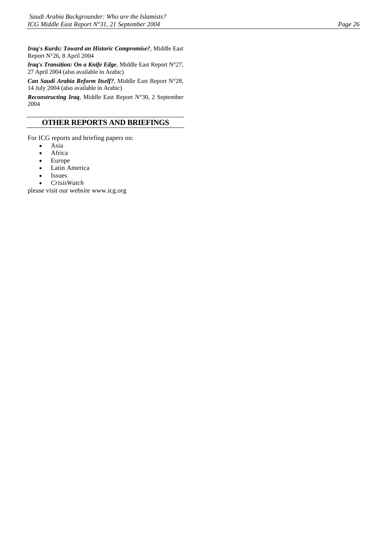*Iraq's Kurds: Toward an Historic Compromise?*, Middle East Report N°26, 8 April 2004

*Iraq's Transition: On a Knife Edge*, Middle East Report N°27, 27 April 2004 (also available in Arabic)

*Can Saudi Arabia Reform Itself?*, Middle East Report N°28, 14 July 2004 (also available in Arabic)

*Reconstructing Iraq*, Middle East Report N°30, 2 September 2004

#### **OTHER REPORTS AND BRIEFINGS**

For ICG reports and briefing papers on:

- Asia
- **Africa**
- Europe
- Latin America
- Issues
- *CrisisWatch*

please visit our website www.icg.org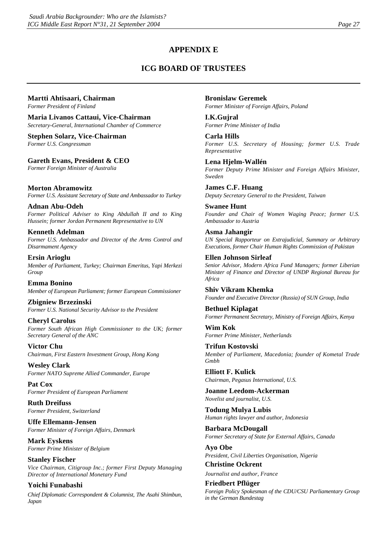# **APPENDIX E**

# **ICG BOARD OF TRUSTEES**

#### **Martti Ahtisaari, Chairman**

*Former President of Finland* 

**Maria Livanos Cattaui, Vice-Chairman**  *Secretary-General, International Chamber of Commerce* 

**Stephen Solarz, Vice-Chairman**  *Former U.S. Congressman* 

**Gareth Evans, President & CEO**  *Former Foreign Minister of Australia* 

**Morton Abramowitz**  *Former U.S. Assistant Secretary of State and Ambassador to Turkey* 

**Adnan Abu-Odeh**  *Former Political Adviser to King Abdullah II and to King Hussein; former Jordan Permanent Representative to UN* 

**Kenneth Adelman**  *Former U.S. Ambassador and Director of the Arms Control and Disarmament Agency* 

**Ersin Arioglu**  *Member of Parliament, Turkey; Chairman Emeritus, Yapi Merkezi Group* 

**Emma Bonino**  *Member of European Parliament; former European Commissioner* 

**Zbigniew Brzezinski**  *Former U.S. National Security Advisor to the President* 

**Cheryl Carolus**  *Former South African High Commissioner to the UK; former Secretary General of the ANC* 

**Victor Chu**  *Chairman, First Eastern Investment Group, Hong Kong* 

**Wesley Clark**  *Former NATO Supreme Allied Commander, Europe* 

**Pat Cox**  *Former President of European Parliament* 

**Ruth Dreifuss**  *Former President, Switzerland* 

**Uffe Ellemann-Jensen**  *Former Minister of Foreign Affairs, Denmark* 

**Mark Eyskens**  *Former Prime Minister of Belgium* 

**Stanley Fischer**  *Vice Chairman, Citigroup Inc.; former First Deputy Managing Director of International Monetary Fund* 

#### **Yoichi Funabashi**

*Chief Diplomatic Correspondent & Columnist, The Asahi Shimbun, Japan* 

**Bronislaw Geremek**  *Former Minister of Foreign Affairs, Poland* 

**I.K.Gujral**  *Former Prime Minister of India* 

**Carla Hills**  *Former U.S. Secretary of Housing; former U.S. Trade Representative* 

**Lena Hjelm-Wallén**  *Former Deputy Prime Minister and Foreign Affairs Minister, Sweden* 

**James C.F. Huang**  *Deputy Secretary General to the President, Taiwan* 

**Swanee Hunt**  *Founder and Chair of Women Waging Peace; former U.S. Ambassador to Austria* 

**Asma Jahangir**  *UN Special Rapporteur on Extrajudicial, Summary or Arbitrary Executions, former Chair Human Rights Commission of Pakistan* 

#### **Ellen Johnson Sirleaf**

*Senior Advisor, Modern Africa Fund Managers; former Liberian Minister of Finance and Director of UNDP Regional Bureau for Africa* 

**Shiv Vikram Khemka**  *Founder and Executive Director (Russia) of SUN Group, India* 

**Bethuel Kiplagat**  *Former Permanent Secretary, Ministry of Foreign Affairs, Kenya* 

**Wim Kok**  *Former Prime Minister, Netherlands* 

**Trifun Kostovski**  *Member of Parliament, Macedonia; founder of Kometal Trade Gmbh* 

**Elliott F. Kulick**  *Chairman, Pegasus International, U.S.* 

**Joanne Leedom-Ackerman**  *Novelist and journalist, U.S.* 

**Todung Mulya Lubis**  *Human rights lawyer and author, Indonesia* 

**Barbara McDougall**  *Former Secretary of State for External Affairs, Canada* 

**Ayo Obe**  *President, Civil Liberties Organisation, Nigeria* 

**Christine Ockrent**  *Journalist and author, France* 

**Friedbert Pflüger**  *Foreign Policy Spokesman of the CDU/CSU Parliamentary Group in the German Bundestag*